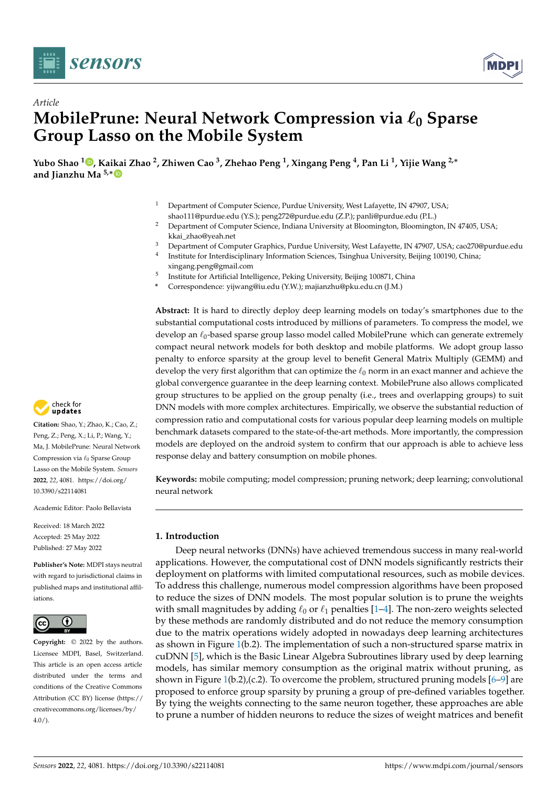



# *Article* **MobilePrune: Neural Network Compression via**  $\ell_0$  **Sparse Group Lasso on the Mobile System**

**Yubo Shao <sup>1</sup> [,](https://orcid.org/0000-0002-5526-0921) Ka[ika](https://orcid.org/0000-0002-8236-6609)i Zhao <sup>2</sup> , Zhiwen Cao <sup>3</sup> , Zhehao Peng <sup>1</sup> , Xingang Peng <sup>4</sup> , Pan Li <sup>1</sup> , Yijie Wang 2,**<sup>∗</sup> **and Jianzhu Ma 5,**<sup>∗</sup>

- Department of Computer Science, Purdue University, West Lafayette, IN 47907, USA; shao111@purdue.edu (Y.S.); peng272@purdue.edu (Z.P.); panli@purdue.edu (P.L.)
- <sup>2</sup> Department of Computer Science, Indiana University at Bloomington, Bloomington, IN 47405, USA; kkai\_zhao@yeah.net
- <sup>3</sup> Department of Computer Graphics, Purdue University, West Lafayette, IN 47907, USA; cao270@purdue.edu
- 4 Institute for Interdisciplinary Information Sciences, Tsinghua University, Beijing 100190, China;
	- xingang.peng@gmail.com
- 5 Institute for Artificial Intelligence, Peking University, Beijing 100871, China
- **\*** Correspondence: yijwang@iu.edu (Y.W.); majianzhu@pku.edu.cn (J.M.)

**Abstract:** It is hard to directly deploy deep learning models on today's smartphones due to the substantial computational costs introduced by millions of parameters. To compress the model, we develop an  $\ell_0$ -based sparse group lasso model called MobilePrune which can generate extremely compact neural network models for both desktop and mobile platforms. We adopt group lasso penalty to enforce sparsity at the group level to benefit General Matrix Multiply (GEMM) and develop the very first algorithm that can optimize the  $\ell_0$  norm in an exact manner and achieve the global convergence guarantee in the deep learning context. MobilePrune also allows complicated group structures to be applied on the group penalty (i.e., trees and overlapping groups) to suit DNN models with more complex architectures. Empirically, we observe the substantial reduction of compression ratio and computational costs for various popular deep learning models on multiple benchmark datasets compared to the state-of-the-art methods. More importantly, the compression models are deployed on the android system to confirm that our approach is able to achieve less response delay and battery consumption on mobile phones.

**Keywords:** mobile computing; model compression; pruning network; deep learning; convolutional neural network

# **1. Introduction**

Deep neural networks (DNNs) have achieved tremendous success in many real-world applications. However, the computational cost of DNN models significantly restricts their deployment on platforms with limited computational resources, such as mobile devices. To address this challenge, numerous model compression algorithms have been proposed to reduce the sizes of DNN models. The most popular solution is to prune the weights with small magnitudes by adding  $\ell_0$  or  $\ell_1$  penalties [\[1–](#page-26-0)[4\]](#page-26-1). The non-zero weights selected by these methods are randomly distributed and do not reduce the memory consumption due to the matrix operations widely adopted in nowadays deep learning architectures as shown in Figure [1\(](#page-1-0)b.2). The implementation of such a non-structured sparse matrix in cuDNN [\[5\]](#page-27-0), which is the Basic Linear Algebra Subroutines library used by deep learning models, has similar memory consumption as the original matrix without pruning, as shown in Figure [1\(](#page-1-0)b.2),(c.2). To overcome the problem, structured pruning models  $[6-9]$  $[6-9]$  are proposed to enforce group sparsity by pruning a group of pre-defined variables together. By tying the weights connecting to the same neuron together, these approaches are able to prune a number of hidden neurons to reduce the sizes of weight matrices and benefit



**Citation:** Shao, Y.; Zhao, K.; Cao, Z.; Peng, Z.; Peng, X.; Li, P.; Wang, Y.; Ma, J. MobilePrune: Neural Network Compression via  $\ell_0$  Sparse Group Lasso on the Mobile System. *Sensors* **2022**, *22*, 4081. [https://doi.org/](https://doi.org/10.3390/s22114081) [10.3390/s22114081](https://doi.org/10.3390/s22114081)

Academic Editor: Paolo Bellavista

Received: 18 March 2022 Accepted: 25 May 2022 Published: 27 May 2022

**Publisher's Note:** MDPI stays neutral with regard to jurisdictional claims in published maps and institutional affiliations.



**Copyright:** © 2022 by the authors. Licensee MDPI, Basel, Switzerland. This article is an open access article distributed under the terms and conditions of the Creative Commons Attribution (CC BY) license [\(https://](https://creativecommons.org/licenses/by/4.0/) [creativecommons.org/licenses/by/](https://creativecommons.org/licenses/by/4.0/)  $4.0/$ ).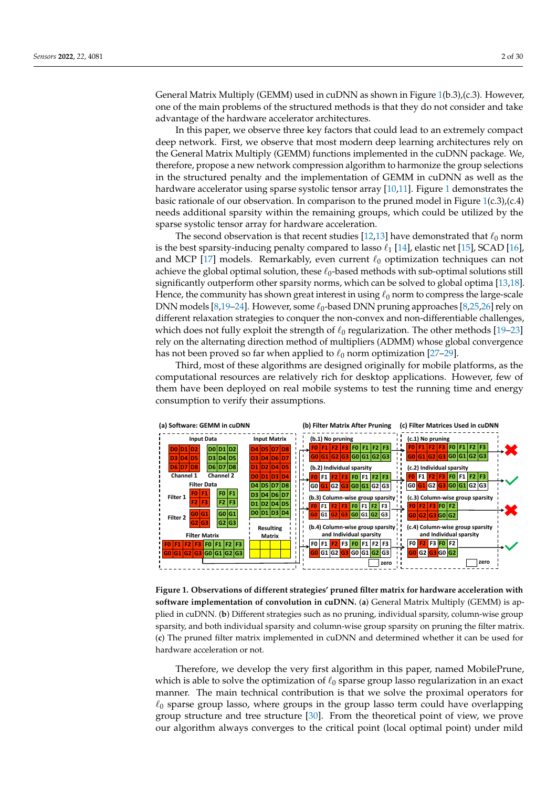General Matrix Multiply (GEMM) used in cuDNN as shown in Figure [1\(](#page-1-0)b.3),(c.3). However, one of the main problems of the structured methods is that they do not consider and take advantage of the hardware accelerator architectures.

In this paper, we observe three key factors that could lead to an extremely compact deep network. First, we observe that most modern deep learning architectures rely on the General Matrix Multiply (GEMM) functions implemented in the cuDNN package. We, therefore, propose a new network compression algorithm to harmonize the group selections in the structured penalty and the implementation of GEMM in cuDNN as well as the hardware accelerator using sparse systolic tensor array [\[10,](#page-27-3)[11\]](#page-27-4). Figure [1](#page-1-0) demonstrates the basic rationale of our observation. In comparison to the pruned model in Figure  $1(c.3)$  $1(c.3)$ , $(c.4)$ needs additional sparsity within the remaining groups, which could be utilized by the sparse systolic tensor array for hardware acceleration.

The second observation is that recent studies [\[12,](#page-27-5)[13\]](#page-27-6) have demonstrated that  $\ell_0$  norm is the best sparsity-inducing penalty compared to lasso  $\ell_1$  [\[14\]](#page-27-7), elastic net [\[15\]](#page-27-8), SCAD [\[16\]](#page-27-9), and MCP [\[17\]](#page-27-10) models. Remarkably, even current  $\ell_0$  optimization techniques can not achieve the global optimal solution, these  $\ell_0$ -based methods with sub-optimal solutions still significantly outperform other sparsity norms, which can be solved to global optima [\[13](#page-27-6)[,18\]](#page-27-11). Hence, the community has shown great interest in using  $\ell_0$  norm to compress the large-scale DNN models [\[8](#page-27-12)[,19](#page-27-13)[–24\]](#page-27-14). However, some  $\ell_0$ -based DNN pruning approaches [\[8,](#page-27-12)[25,](#page-27-15)[26\]](#page-27-16) rely on different relaxation strategies to conquer the non-convex and non-differentiable challenges, which does not fully exploit the strength of  $\ell_0$  regularization. The other methods [\[19–](#page-27-13)[23\]](#page-27-17) rely on the alternating direction method of multipliers (ADMM) whose global convergence has not been proved so far when applied to  $\ell_0$  norm optimization [\[27–](#page-27-18)[29\]](#page-27-19).

Third, most of these algorithms are designed originally for mobile platforms, as the computational resources are relatively rich for desktop applications. However, few of them have been deployed on real mobile systems to test the running time and energy consumption to verify their assumptions.

<span id="page-1-0"></span>

**Figure 1. Observations of different strategies' pruned filter matrix for hardware acceleration with software implementation of convolution in cuDNN.** (**a**) General Matrix Multiply (GEMM) is applied in cuDNN. (**b**) Different strategies such as no pruning, individual sparsity, column-wise group sparsity, and both individual sparsity and column-wise group sparsity on pruning the filter matrix. (**c**) The pruned filter matrix implemented in cuDNN and determined whether it can be used for hardware acceleration or not.

Therefore, we develop the very first algorithm in this paper, named MobilePrune, which is able to solve the optimization of  $\ell_0$  sparse group lasso regularization in an exact manner. The main technical contribution is that we solve the proximal operators for  $\ell_0$  sparse group lasso, where groups in the group lasso term could have overlapping group structure and tree structure [\[30\]](#page-27-20). From the theoretical point of view, we prove our algorithm always converges to the critical point (local optimal point) under mild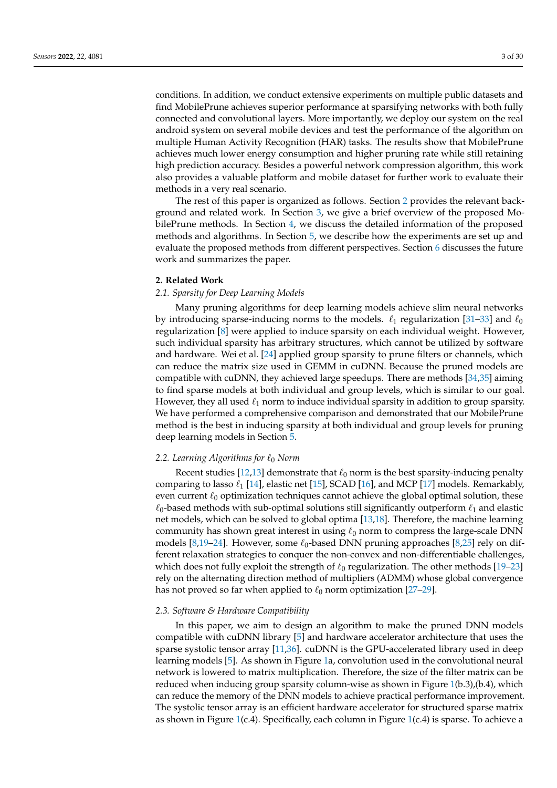conditions. In addition, we conduct extensive experiments on multiple public datasets and find MobilePrune achieves superior performance at sparsifying networks with both fully connected and convolutional layers. More importantly, we deploy our system on the real android system on several mobile devices and test the performance of the algorithm on multiple Human Activity Recognition (HAR) tasks. The results show that MobilePrune achieves much lower energy consumption and higher pruning rate while still retaining high prediction accuracy. Besides a powerful network compression algorithm, this work also provides a valuable platform and mobile dataset for further work to evaluate their methods in a very real scenario.

The rest of this paper is organized as follows. Section [2](#page-2-0) provides the relevant background and related work. In Section [3,](#page-3-0) we give a brief overview of the proposed MobilePrune methods. In Section [4,](#page-4-0) we discuss the detailed information of the proposed methods and algorithms. In Section [5,](#page-8-0) we describe how the experiments are set up and evaluate the proposed methods from different perspectives. Section [6](#page-13-0) discusses the future work and summarizes the paper.

## <span id="page-2-0"></span>**2. Related Work**

## *2.1. Sparsity for Deep Learning Models*

Many pruning algorithms for deep learning models achieve slim neural networks by introducing sparse-inducing norms to the models.  $\ell_1$  regularization [\[31](#page-27-21)[–33\]](#page-28-0) and  $\ell_0$ regularization [\[8\]](#page-27-12) were applied to induce sparsity on each individual weight. However, such individual sparsity has arbitrary structures, which cannot be utilized by software and hardware. Wei et al. [\[24\]](#page-27-14) applied group sparsity to prune filters or channels, which can reduce the matrix size used in GEMM in cuDNN. Because the pruned models are compatible with cuDNN, they achieved large speedups. There are methods [\[34](#page-28-1)[,35\]](#page-28-2) aiming to find sparse models at both individual and group levels, which is similar to our goal. However, they all used  $\ell_1$  norm to induce individual sparsity in addition to group sparsity. We have performed a comprehensive comparison and demonstrated that our MobilePrune method is the best in inducing sparsity at both individual and group levels for pruning deep learning models in Section [5.](#page-8-0)

## *2.2. Learning Algorithms for*  $\ell_0$  *Norm*

Recent studies [\[12](#page-27-5)[,13\]](#page-27-6) demonstrate that  $\ell_0$  norm is the best sparsity-inducing penalty comparing to lasso  $\ell_1$  [\[14\]](#page-27-7), elastic net [\[15\]](#page-27-8), SCAD [\[16\]](#page-27-9), and MCP [\[17\]](#page-27-10) models. Remarkably, even current  $\ell_0$  optimization techniques cannot achieve the global optimal solution, these  $\ell_0$ -based methods with sub-optimal solutions still significantly outperform  $\ell_1$  and elastic net models, which can be solved to global optima [\[13](#page-27-6)[,18\]](#page-27-11). Therefore, the machine learning community has shown great interest in using  $\ell_0$  norm to compress the large-scale DNN models [\[8](#page-27-12)[,19–](#page-27-13)[24\]](#page-27-14). However, some  $\ell_0$ -based DNN pruning approaches [8[,25\]](#page-27-15) rely on different relaxation strategies to conquer the non-convex and non-differentiable challenges, which does not fully exploit the strength of  $\ell_0$  regularization. The other methods [\[19–](#page-27-13)[23\]](#page-27-17) rely on the alternating direction method of multipliers (ADMM) whose global convergence has not proved so far when applied to  $\ell_0$  norm optimization [\[27–](#page-27-18)[29\]](#page-27-19).

## *2.3. Software & Hardware Compatibility*

In this paper, we aim to design an algorithm to make the pruned DNN models compatible with cuDNN library [\[5\]](#page-27-0) and hardware accelerator architecture that uses the sparse systolic tensor array [\[11](#page-27-4)[,36\]](#page-28-3). cuDNN is the GPU-accelerated library used in deep learning models [\[5\]](#page-27-0). As shown in Figure [1a](#page-1-0), convolution used in the convolutional neural network is lowered to matrix multiplication. Therefore, the size of the filter matrix can be reduced when inducing group sparsity column-wise as shown in Figure [1\(](#page-1-0)b.3),(b.4), which can reduce the memory of the DNN models to achieve practical performance improvement. The systolic tensor array is an efficient hardware accelerator for structured sparse matrix as shown in Figure [1\(](#page-1-0)c.4). Specifically, each column in Figure [1\(](#page-1-0)c.4) is sparse. To achieve a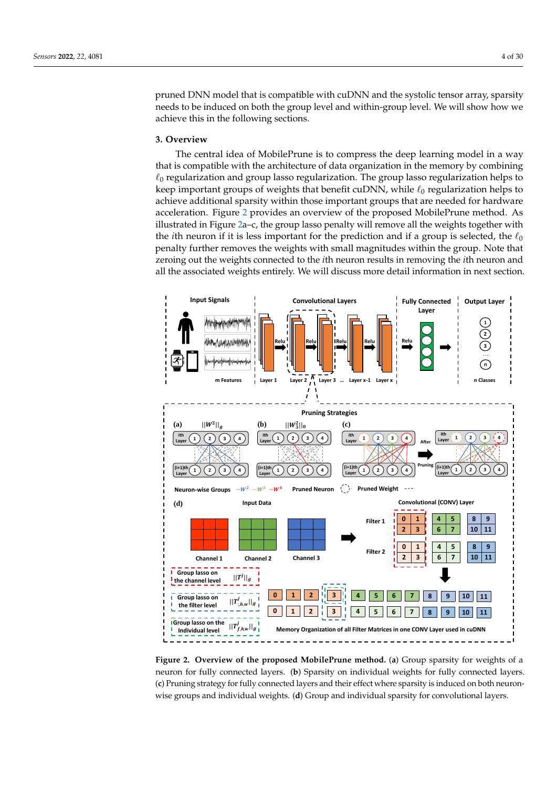pruned DNN model that is compatible with cuDNN and the systolic tensor array, sparsity needs to be induced on both the group level and within-group level. We will show how we achieve this in the following sections.

## <span id="page-3-0"></span>**3. Overview**

The central idea of MobilePrune is to compress the deep learning model in a way that is compatible with the architecture of data organization in the memory by combining  $\ell_0$  regularization and group lasso regularization. The group lasso regularization helps to keep important groups of weights that benefit cuDNN, while  $\ell_0$  regularization helps to achieve additional sparsity within those important groups that are needed for hardware acceleration. Figure [2](#page-3-1) provides an overview of the proposed MobilePrune method. As illustrated in Figure [2a](#page-3-1)–c, the group lasso penalty will remove all the weights together with the *i*th neuron if it is less important for the prediction and if a group is selected, the  $\ell_0$ penalty further removes the weights with small magnitudes within the group. Note that zeroing out the weights connected to the *i*th neuron results in removing the *i*th neuron and all the associated weights entirely. We will discuss more detail information in next section.

<span id="page-3-1"></span>

**Figure 2. Overview of the proposed MobilePrune method.** (**a**) Group sparsity for weights of a neuron for fully connected layers. (**b**) Sparsity on individual weights for fully connected layers. (**c**) Pruning strategy for fully connected layers and their effect where sparsity is induced on both neuronwise groups and individual weights. (**d**) Group and individual sparsity for convolutional layers.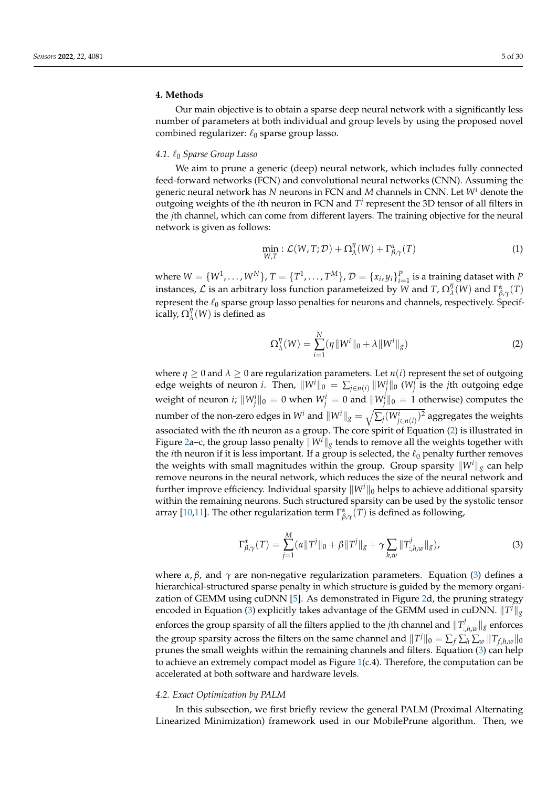## <span id="page-4-0"></span>**4. Methods**

Our main objective is to obtain a sparse deep neural network with a significantly less number of parameters at both individual and group levels by using the proposed novel combined regularizer:  $\ell_0$  sparse group lasso.

## *4.1.* `<sup>0</sup> *Sparse Group Lasso*

We aim to prune a generic (deep) neural network, which includes fully connected feed-forward networks (FCN) and convolutional neural networks (CNN). Assuming the generic neural network has *N* neurons in FCN and *M* channels in CNN. Let *W<sup>i</sup>* denote the outgoing weights of the *i*th neuron in FCN and *T j* represent the 3D tensor of all filters in the *j*th channel, which can come from different layers. The training objective for the neural network is given as follows:

<span id="page-4-3"></span>
$$
\min_{W,T}: \mathcal{L}(W,T;\mathcal{D}) + \Omega_{\lambda}^{\eta}(W) + \Gamma_{\beta,\gamma}^{\alpha}(T) \tag{1}
$$

where  $W = \{W^1, \ldots, W^N\}$ ,  $T = \{T^1, \ldots, T^M\}$ ,  $\mathcal{D} = \{x_i, y_i\}_{i=1}^P$  is a training dataset with *P* instances,  $\mathcal L$  is an arbitrary loss function parameteized by W and T,  $\Omega_\lambda^\eta$  $\int_{\lambda}^{\eta} (W)$  and  $\Gamma^{\alpha}_{\beta,\gamma}(T)$ represent the  $\ell_0$  sparse group lasso penalties for neurons and channels, respectively. Specifically, Ω *η*  $\chi''$ <sub> $\lambda$ </sub> $(W)$  is defined as

<span id="page-4-1"></span>
$$
\Omega_{\lambda}^{\eta}(W) = \sum_{i=1}^{N} (\eta \|W^i\|_0 + \lambda \|W^i\|_g)
$$
\n(2)

where  $\eta \geq 0$  and  $\lambda \geq 0$  are regularization parameters. Let  $n(i)$  represent the set of outgoing edge weights of neuron *i*. Then,  $\|W^i\|_0 = \sum_{j\in n(i)} \|W^i_j\|_0$  ( $W^i_j$  is the *j*th outgoing edge weight of neuron  $i$ ;  $\|W^i_j\|_0 = 0$  when  $W^i_j = 0$  and  $\|W^i_j\|_0 = 1$  otherwise) computes the number of the non-zero edges in  $W^i$  and  $\|W^i\|_g = \sqrt{\sum_j (W^i_{j\in n(i)})^2}$  aggregates the weights associated with the *i*th neuron as a group. The core spirit of Equation [\(2\)](#page-4-1) is illustrated in Figure [2a](#page-3-1)–c, the group lasso penalty  $\|W^{\prime}\|_{g}$  tends to remove all the weights together with the *i*th neuron if it is less important. If a group is selected, the  $\ell_0$  penalty further removes the weights with small magnitudes within the group. Group sparsity  $\|W^i\|_g$  can help remove neurons in the neural network, which reduces the size of the neural network and further improve efficiency. Individual sparsity  $\|W^i\|_0$  helps to achieve additional sparsity within the remaining neurons. Such structured sparsity can be used by the systolic tensor array [\[10,](#page-27-3)[11\]](#page-27-4). The other regularization term  $\Gamma_{\beta,\gamma}^{\alpha}(T)$  is defined as following,

<span id="page-4-2"></span>
$$
\Gamma^{\alpha}_{\beta,\gamma}(T) = \sum_{j=1}^{M} (\alpha ||T^j||_0 + \beta ||T^j||_g + \gamma \sum_{h,w} ||T^j_{:,h,w}||_g),
$$
\n(3)

where *α*, *β*, and  $\gamma$  are non-negative regularization parameters. Equation [\(3\)](#page-4-2) defines a hierarchical-structured sparse penalty in which structure is guided by the memory organization of GEMM using cuDNN [\[5\]](#page-27-0). As demonstrated in Figure [2d](#page-3-1), the pruning strategy encoded in Equation [\(3\)](#page-4-2) explicitly takes advantage of the GEMM used in cuDNN.  $\|T^j\|_g$ enforces the group sparsity of all the filters applied to the *j*th channel and  $\Vert T^j$  $\|f\|_{\mathcal{S}}$  enforces the group sparsity across the filters on the same channel and  $\|T^j\|_0 = \sum_f \sum_h \sum_w \|T_{f,h,w}\|_0$ prunes the small weights within the remaining channels and filters. Equation [\(3\)](#page-4-2) can help to achieve an extremely compact model as Figure [1\(](#page-1-0)c.4). Therefore, the computation can be accelerated at both software and hardware levels.

## *4.2. Exact Optimization by PALM*

In this subsection, we first briefly review the general PALM (Proximal Alternating Linearized Minimization) framework used in our MobilePrune algorithm. Then, we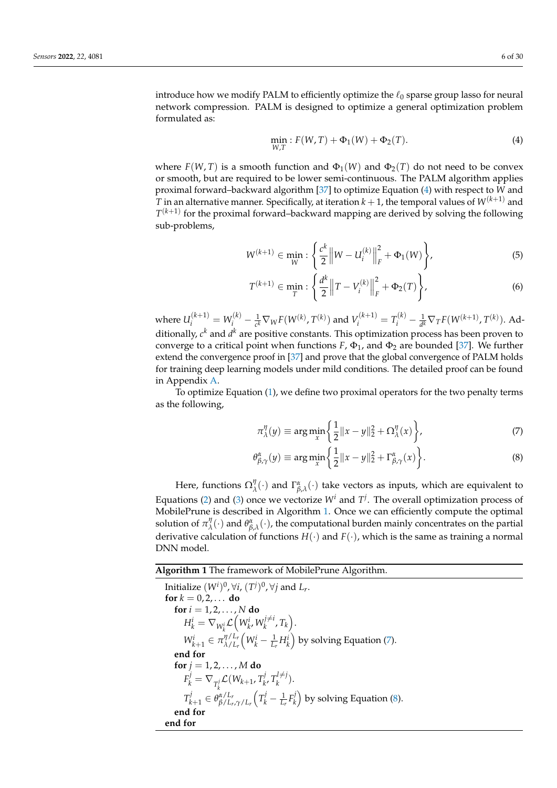introduce how we modify PALM to efficiently optimize the  $\ell_0$  sparse group lasso for neural network compression. PALM is designed to optimize a general optimization problem formulated as:

<span id="page-5-0"></span>
$$
\min_{W,T} : F(W,T) + \Phi_1(W) + \Phi_2(T). \tag{4}
$$

where  $F(W, T)$  is a smooth function and  $\Phi_1(W)$  and  $\Phi_2(T)$  do not need to be convex or smooth, but are required to be lower semi-continuous. The PALM algorithm applies proximal forward–backward algorithm [\[37\]](#page-28-4) to optimize Equation [\(4\)](#page-5-0) with respect to *W* and *T* in an alternative manner. Specifically, at iteration  $k + 1$ , the temporal values of  $W^{(k+1)}$  and  $T^{(k+1)}$  for the proximal forward–backward mapping are derived by solving the following sub-problems,

$$
W^{(k+1)} \in \min_{W} : \left\{ \frac{c^k}{2} \left\| W - U_i^{(k)} \right\|_F^2 + \Phi_1(W) \right\},\tag{5}
$$

$$
T^{(k+1)} \in \min_{T} : \left\{ \frac{d^k}{2} \left\| T - V_i^{(k)} \right\|_F^2 + \Phi_2(T) \right\},\tag{6}
$$

where  $U_i^{(k+1)} = W_i^{(k)} - \frac{1}{c^k} \nabla_W F(W^{(k)}, T^{(k)})$  and  $V_i^{(k+1)} = T_i^{(k)} - \frac{1}{d^k} \nabla_T F(W^{(k+1)}, T^{(k)})$ . Additionally*, c<sup>k</sup>* and *d<sup>k</sup>* are positive constants. This optimization process has been proven to converge to a critical point when functions  $F$ ,  $\Phi_1$ , and  $\Phi_2$  are bounded [\[37\]](#page-28-4). We further extend the convergence proof in [\[37\]](#page-28-4) and prove that the global convergence of PALM holds for training deep learning models under mild conditions. The detailed proof can be found in Appendix [A.](#page-14-0)

To optimize Equation [\(1\)](#page-4-3), we define two proximal operators for the two penalty terms as the following,

<span id="page-5-3"></span><span id="page-5-2"></span>
$$
\pi_{\lambda}^{\eta}(y) \equiv \arg\min_{x} \left\{ \frac{1}{2} ||x - y||_2^2 + \Omega_{\lambda}^{\eta}(x) \right\},\tag{7}
$$

$$
\theta_{\beta,\gamma}^{\alpha}(y) \equiv \arg\min_{x} \left\{ \frac{1}{2} ||x - y||_2^2 + \Gamma_{\beta,\gamma}^{\alpha}(x) \right\}.
$$
 (8)

Here, functions  $\Omega_{\lambda}^{\eta}$  $\chi^{\eta}(\cdot)$  and  $\Gamma^{\alpha}_{\beta,\lambda}(\cdot)$  take vectors as inputs, which are equivalent to Equations [\(2\)](#page-4-1) and [\(3\)](#page-4-2) once we vectorize  $W^i$  and  $T^j$ . The overall optimization process of MobilePrune is described in Algorithm [1.](#page-5-1) Once we can efficiently compute the optimal solution of  $\pi_\lambda^\eta$  $\psi_\lambda^\eta(\cdot)$  and  $\theta^\alpha_{\beta,\lambda}(\cdot)$ , the computational burden mainly concentrates on the partial derivative calculation of functions *H*(·) and *F*(·), which is the same as training a normal DNN model.

<span id="page-5-1"></span>**Algorithm 1** The framework of MobilePrune Algorithm.

```
Initialize (W^i)^0, \forall i, (T^j)^0, \forall j and L_r.
for k = 0, 2, ... do
    for i = 1, 2, ..., N do
         H_k^i = \nabla_{W_k^i} \mathcal{L}\Big(W_k^i, W_k^{j\not= i}\Big)x^{j\neq i}_{k}, T_{k}).
         W_{k+1}^i \in \pi_{\lambda/L_k}^{\eta/L_k}λ/Lr
                                  \left(W_k^i - \frac{1}{L_r} H_k^i\right)(7).
    end for
    for j = 1, 2, \ldots, M do
         F^j_k = \nabla_{T^j_k} \mathcal{L}(W_{k+1}, T^j_k)k
                                             _{k}^{j}, T_{k}^{l\neq j}\binom{n+1}{k}.
         T_k^j\theta_{k+1}^j \in \theta_{\beta/L_r}^{\alpha/L_r}β/Lr,γ/Lr
                                        \left(T_k^j - \frac{1}{L_r}F_k^j\right)\binom{p}{k}(8).
    end for
end for
```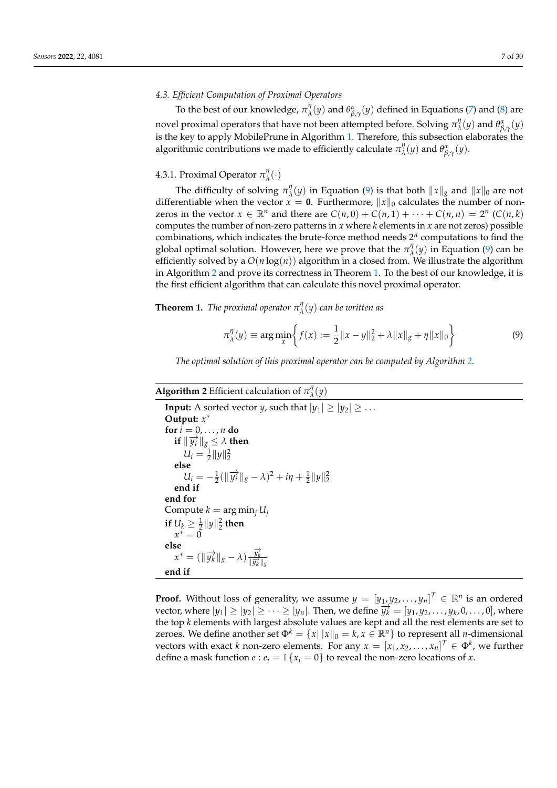# *4.3. Efficient Computation of Proximal Operators*

To the best of our knowledge,  $\pi^{\eta}_{\lambda}$  $\frac{d}{d}$  (*y*) and  $θ^{\alpha}_{\beta,\gamma}(y)$  defined in Equations [\(7\)](#page-5-2) and [\(8\)](#page-5-3) are novel proximal operators that have not been attempted before. Solving *π η*  $\frac{d\mathcal{U}}{\lambda}(y)$  and  $\theta^{\alpha}_{\beta,\gamma}(y)$ is the key to apply MobilePrune in Algorithm [1.](#page-5-1) Therefore, this subsection elaborates the algorithmic contributions we made to efficiently calculate *π η*  $\frac{\partial f}{\partial \lambda}(y)$  and  $θ^{\alpha}_{\beta,\gamma}(y)$ .

#### 4.3.1. Proximal Operator *π η λ* (·)

The difficulty of solving *π η*  $\int_{\lambda}^{y}(y)$  in Equation [\(9\)](#page-6-0) is that both  $||x||_g$  and  $||x||_0$  are not differentiable when the vector  $x = 0$ . Furthermore,  $||x||_0$  calculates the number of nonzeros in the vector  $x \in \mathbb{R}^n$  and there are  $C(n, 0) + C(n, 1) + \cdots + C(n, n) = 2^n$  ( $C(n, k)$ ) computes the number of non-zero patterns in *x* where *k* elements in *x* are not zeros) possible combinations, which indicates the brute-force method needs 2 *n* computations to find the global optimal solution. However, here we prove that the *π η λ* (*y*) in Equation [\(9\)](#page-6-0) can be efficiently solved by a  $O(n \log(n))$  algorithm in a closed from. We illustrate the algorithm in Algorithm [2](#page-6-1) and prove its correctness in Theorem [1.](#page-6-2) To the best of our knowledge, it is the first efficient algorithm that can calculate this novel proximal operator.

<span id="page-6-2"></span>**Theorem 1.** *The proximal operator π η λ* (*y*) *can be written as*

<span id="page-6-0"></span>
$$
\pi_{\lambda}^{\eta}(y) \equiv \arg\min_{x} \left\{ f(x) := \frac{1}{2} \|x - y\|_2^2 + \lambda \|x\|_g + \eta \|x\|_0 \right\} \tag{9}
$$

*The optimal solution of this proximal operator can be computed by Algorithm [2.](#page-6-1)*

#### <span id="page-6-1"></span>**Algorithm 2** Efficient calculation of *π η λ* (*y*)

```
Input: A sorted vector y, such that |y_1| > |y_2| > ...Output: x
∗
for i = 0, \ldots, n do
     \textbf{if} \|\overrightarrow{y_i}\|_g \leq \lambda then
         U_i = \frac{1}{2} ||y||_2^2else
         U_i = -\frac{1}{2}(\|\vec{y}_i\|_g - \lambda)^2 + i\eta + \frac{1}{2}\|y\|_2^2end if
end for
Compute k = \arg \min_j U_jif U_k \geq \frac{1}{2} ||y||_2^2 then
     x^* = 0else
     x^* = (\Vert \overrightarrow{y_k} \Vert_g - \lambda) \frac{\overrightarrow{y_k}}{\Vert \overrightarrow{y_k} \Vert_g}\frac{y}{\|y_k\|_g}end if
```
**Proof.** Without loss of generality, we assume  $y = [y_1, y_2, \ldots, y_n]^T \in \mathbb{R}^n$  is an ordered vector, where  $|y_1| \ge |y_2| \ge \cdots \ge |y_n|$ . Then, we define  $\overline{y_k^j} = [y_1, y_2, \ldots, y_k, 0, \ldots, 0]$ , where the top *k* elements with largest absolute values are kept and all the rest elements are set to zeroes. We define another set  $\Phi^k = \{x \mid ||x||_0 = k, x \in \mathbb{R}^n\}$  to represent all *n*-dimensional vectors with exact *k* non-zero elements. For any  $x = [x_1, x_2, \ldots, x_n]^T \in \Phi^k$ , we further define a mask function  $e : e_i = \mathbb{1}\{x_i = 0\}$  to reveal the non-zero locations of *x*.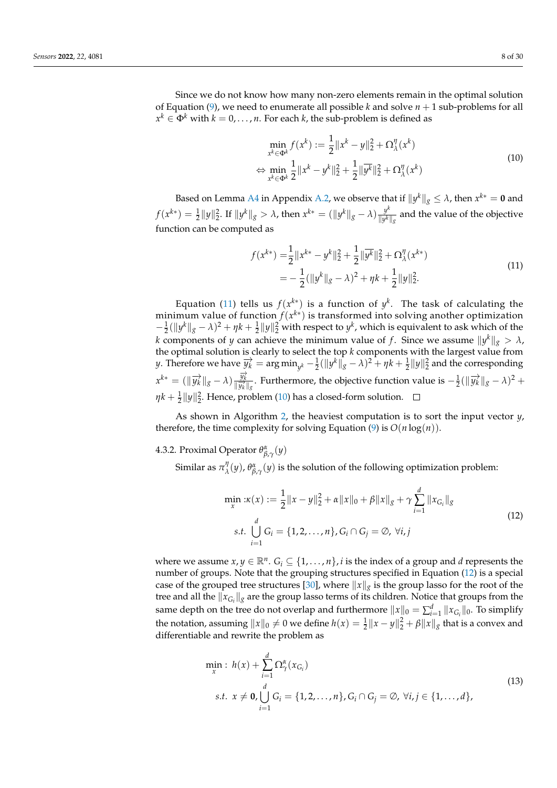Since we do not know how many non-zero elements remain in the optimal solution of Equation [\(9\)](#page-6-0), we need to enumerate all possible *k* and solve  $n + 1$  sub-problems for all  $x^k \in \Phi^k$  with  $k = 0, \ldots, n.$  For each  $k$ , the sub-problem is defined as

<span id="page-7-1"></span>
$$
\min_{x^k \in \Phi^k} f(x^k) := \frac{1}{2} \|x^k - y\|_2^2 + \Omega_{\lambda}^{\eta}(x^k)
$$
\n
$$
\Leftrightarrow \min_{x^k \in \Phi^k} \frac{1}{2} \|x^k - y^k\|_2^2 + \frac{1}{2} \|\overline{y^k}\|_2^2 + \Omega_{\lambda}^{\eta}(x^k)
$$
\n(10)

Based on Lemma [A4](#page-17-0) in Appendix [A.2,](#page-17-1) we observe that if  $||y^k||_g \leq \lambda$ , then  $x^{k*} = \mathbf{0}$  and  $f(x^{k*}) = \frac{1}{2} \|y\|_2^2$ . If  $\|y^k\|_g > \lambda$ , then  $x^{k*} = (\|y^k\|_g - \lambda) \frac{y^k}{\|y^k\|_g}$  $\frac{y}{\|y^k\|_g}$  and the value of the objective function can be computed as

<span id="page-7-0"></span>
$$
f(x^{k*}) = \frac{1}{2} ||x^{k*} - y^k||_2^2 + \frac{1}{2} ||\overline{y^k}||_2^2 + \Omega_{\lambda}^{\eta}(x^{k*})
$$
  
= 
$$
-\frac{1}{2} (||y^k||_g - \lambda)^2 + \eta k + \frac{1}{2} ||y||_2^2.
$$
 (11)

Equation [\(11\)](#page-7-0) tells us  $f(x^{k*})$  is a function of  $y^k$ . The task of calculating the minimum value of function *f*(*x k*∗ ) is transformed into solving another optimization  $-\frac{1}{2}$ ( $||y^k||_g - \lambda$ )<sup>2</sup> + *ηk* +  $\frac{1}{2}||y||_2^2$  with respect to *y*<sup>*k*</sup>, which is equivalent to ask which of the *k* components of *y* can achieve the minimum value of *f*. Since we assume  $\|y^k\|_g > \lambda$ , the optimal solution is clearly to select the top  $k$  components with the largest value from  $y$ . Therefore we have  $\overrightarrow{y_k} = \arg\min_{y^k} -\frac{1}{2}(\|y^k\|_g - \lambda)^2 + \eta k + \frac{1}{2}\|y\|_2^2$  and the corresponding  $x^{k*} = (\Vert \overrightarrow{y_k} \Vert_{g} - \lambda) \frac{\overrightarrow{y_k}}{\Vert \overrightarrow{y_k} \Vert_{g}}$  $\frac{\overrightarrow{y_k}}{\|\overrightarrow{y_k}\|_g}$ . Furthermore, the objective function value is  $-\frac{1}{2}(\|\overrightarrow{y_k}\|_g - \lambda)^2 +$  $\eta k + \frac{1}{2} \|y\|_2^2$ . Hence, problem [\(10\)](#page-7-1) has a closed-form solution.

As shown in Algorithm [2,](#page-6-1) the heaviest computation is to sort the input vector *y*, therefore, the time complexity for solving Equation [\(9\)](#page-6-0) is  $O(n \log(n))$ .

# 4.3.2. Proximal Operator *θ α β*,*γ* (*y*)

Similar as  $\pi^\eta_\lambda$  $\partial_\lambda^\eta(y)$ ,  $\theta_{\beta,\gamma}^\alpha(y)$  is the solution of the following optimization problem:

<span id="page-7-2"></span>
$$
\min_{x} : \kappa(x) := \frac{1}{2} \|x - y\|_{2}^{2} + \alpha \|x\|_{0} + \beta \|x\|_{g} + \gamma \sum_{i=1}^{d} \|x_{G_{i}}\|_{g}
$$
  
s.t. 
$$
\bigcup_{i=1}^{d} G_{i} = \{1, 2, ..., n\}, G_{i} \cap G_{j} = \emptyset, \forall i, j
$$
\n(12)

where we assume  $x, y \in \mathbb{R}^n$ .  $G_i \subseteq \{1, \ldots, n\}$ , *i* is the index of a group and *d* represents the number of groups. Note that the grouping structures specified in Equation [\(12\)](#page-7-2) is a special case of the grouped tree structures [\[30\]](#page-27-20), where  $\|x\|_g$  is the group lasso for the root of the tree and all the  $\|x_{G_i}\|_g$  are the group lasso terms of its children. Notice that groups from the same depth on the tree do not overlap and furthermore  $\|x\|_0 = \sum_{i=1}^d \|x_{G_i}\|_0$ . To simplify the notation, assuming  $||x||_0 \neq 0$  we define  $h(x) = \frac{1}{2} ||x - y||_2^2 + \beta ||x||_g$  that is a convex and differentiable and rewrite the problem as

<span id="page-7-3"></span>
$$
\min_{x} : h(x) + \sum_{i=1}^{d} \Omega_{\gamma}^{\alpha}(x_{G_i})
$$
\n
$$
s.t. x \neq \mathbf{0}, \bigcup_{i=1}^{d} G_i = \{1, 2, ..., n\}, G_i \cap G_j = \emptyset, \forall i, j \in \{1, ..., d\},
$$
\n(13)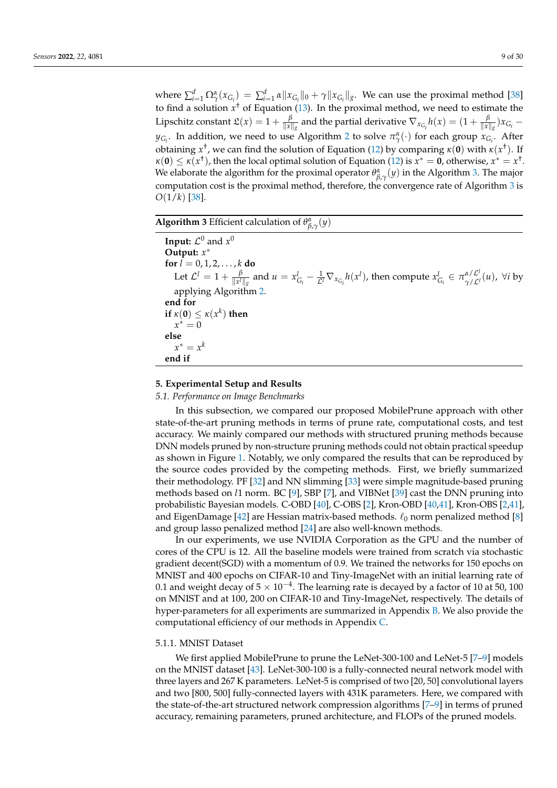where  $\sum_{i=1}^d \Omega^{\alpha}_{\gamma}(x_{G_i}) = \sum_{i=1}^d \alpha \|x_{G_i}\|_0 + \gamma \|x_{G_i}\|_g$ . We can use the proximal method [\[38\]](#page-28-5) to find a solution *x* † of Equation [\(13\)](#page-7-3). In the proximal method, we need to estimate the Lipschitz constant  $\mathfrak{L}(x) = 1 + \frac{\beta}{\|x\|_g}$  and the partial derivative  $\nabla_{x_{G_i}} h(x) = (1 + \frac{\beta}{\|x\|_g}) x_{G_i}$  $y_{G_i}$ . In addition, we need to use Algorithm [2](#page-6-1) to solve  $\pi_\gamma^\alpha(\cdot)$  for each group  $x_{G_i}$ . After obtaining *x* † , we can find the solution of Equation [\(12\)](#page-7-2) by comparing *κ*(**0**) with *κ*(*x* † ). If  $\kappa(\mathbf{0}) \leq \kappa(x^+)$ , then the local optimal solution of Equation [\(12\)](#page-7-2) is  $\tilde{x}^* = \mathbf{0}$ , otherwise,  $x^* = x^+$ . We elaborate the algorithm for the proximal operator  $\theta_{\beta,\gamma}^{\alpha}(y)$  in the Algorithm [3.](#page-8-1) The major computation cost is the proximal method, therefore, the convergence rate of Algorithm [3](#page-8-1) is *O*(1/*k*) [\[38\]](#page-28-5).

<span id="page-8-1"></span>**Algorithm 3** Efficient calculation of  $\theta^{\alpha}_{\beta,\gamma}(y)$ 

**Input:**  $\mathcal{L}^0$  and  $x^0$ **Output:** *x* ∗ **for**  $l = 0, 1, 2, ..., k$  **do** Let  $\mathcal{L}^l = 1 + \frac{\beta}{\|\mathbf{x}^l\|}$  $\frac{\beta}{\|x'\|_g}$  and  $u = x_{G_i}^l - \frac{1}{\mathcal{L}^l} \nabla_{x_{G_i}} h(x^l)$ , then compute  $x_{G_i}^l \in \pi_{\gamma/\mathcal{L}^l}^{\alpha/\mathcal{L}^l}$ *γ*/L*<sup>l</sup>* (*u*), ∀*i* by applying Algorithm [2.](#page-6-1) **end for if**  $\kappa(\mathbf{0}) \leq \kappa(x^k)$  **then**  $x^* = 0$ **else**  $x^* = x^k$ **end if**

# <span id="page-8-0"></span>**5. Experimental Setup and Results**

## *5.1. Performance on Image Benchmarks*

In this subsection, we compared our proposed MobilePrune approach with other state-of-the-art pruning methods in terms of prune rate, computational costs, and test accuracy. We mainly compared our methods with structured pruning methods because DNN models pruned by non-structure pruning methods could not obtain practical speedup as shown in Figure [1.](#page-1-0) Notably, we only compared the results that can be reproduced by the source codes provided by the competing methods. First, we briefly summarized their methodology. PF [\[32\]](#page-27-22) and NN slimming [\[33\]](#page-28-0) were simple magnitude-based pruning methods based on *l*1 norm. BC [\[9\]](#page-27-2), SBP [\[7\]](#page-27-23), and VIBNet [\[39\]](#page-28-6) cast the DNN pruning into probabilistic Bayesian models. C-OBD [\[40\]](#page-28-7), C-OBS [\[2\]](#page-26-2), Kron-OBD [\[40](#page-28-7)[,41\]](#page-28-8), Kron-OBS [\[2](#page-26-2)[,41\]](#page-28-8), and EigenDamage [\[42\]](#page-28-9) are Hessian matrix-based methods.  $\ell_0$  norm penalized method [\[8\]](#page-27-12) and group lasso penalized method [\[24\]](#page-27-14) are also well-known methods.

In our experiments, we use NVIDIA Corporation as the GPU and the number of cores of the CPU is 12. All the baseline models were trained from scratch via stochastic gradient decent(SGD) with a momentum of 0.9. We trained the networks for 150 epochs on MNIST and 400 epochs on CIFAR-10 and Tiny-ImageNet with an initial learning rate of 0.1 and weight decay of 5  $\times$  10<sup>-4</sup>. The learning rate is decayed by a factor of 10 at 50, 100 on MNIST and at 100, 200 on CIFAR-10 and Tiny-ImageNet, respectively. The details of hyper-parameters for all experiments are summarized in Appendix [B.](#page-19-0) We also provide the computational efficiency of our methods in Appendix [C.](#page-20-0)

## 5.1.1. MNIST Dataset

We first applied MobilePrune to prune the LeNet-300-100 and LeNet-5 [\[7–](#page-27-23)[9\]](#page-27-2) models on the MNIST dataset [\[43\]](#page-28-10). LeNet-300-100 is a fully-connected neural network model with three layers and 267 K parameters. LeNet-5 is comprised of two [20, 50] convolutional layers and two [800, 500] fully-connected layers with 431K parameters. Here, we compared with the state-of-the-art structured network compression algorithms [\[7–](#page-27-23)[9\]](#page-27-2) in terms of pruned accuracy, remaining parameters, pruned architecture, and FLOPs of the pruned models.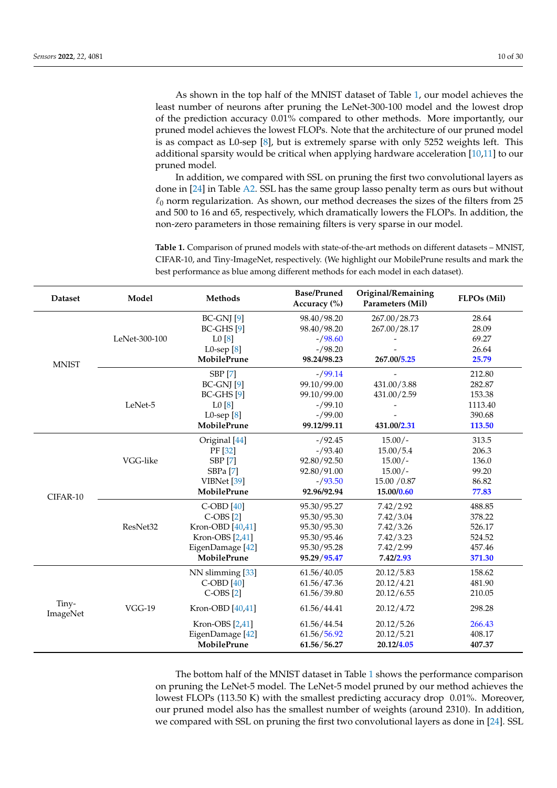As shown in the top half of the MNIST dataset of Table [1,](#page-9-0) our model achieves the least number of neurons after pruning the LeNet-300-100 model and the lowest drop of the prediction accuracy 0.01% compared to other methods. More importantly, our pruned model achieves the lowest FLOPs. Note that the architecture of our pruned model is as compact as L0-sep [\[8\]](#page-27-12), but is extremely sparse with only 5252 weights left. This additional sparsity would be critical when applying hardware acceleration [\[10](#page-27-3)[,11\]](#page-27-4) to our pruned model.

In addition, we compared with SSL on pruning the first two convolutional layers as done in [\[24\]](#page-27-14) in Table [A2.](#page-20-1) SSL has the same group lasso penalty term as ours but without  $\ell_0$  norm regularization. As shown, our method decreases the sizes of the filters from 25 and 500 to 16 and 65, respectively, which dramatically lowers the FLOPs. In addition, the non-zero parameters in those remaining filters is very sparse in our model.

<span id="page-9-0"></span>**Table 1.** Comparison of pruned models with state-of-the-art methods on different datasets – MNIST, CIFAR-10, and Tiny-ImageNet, respectively. (We highlight our MobilePrune results and mark the best performance as blue among different methods for each model in each dataset).

| <b>Dataset</b>    | Model         | <b>Methods</b>        | <b>Base/Pruned</b><br>Accuracy (%) | Original/Remaining<br>Parameters (Mil) | FLPOs (Mil) |
|-------------------|---------------|-----------------------|------------------------------------|----------------------------------------|-------------|
|                   |               | $BC-GNJ[9]$           | 98.40/98.20                        | 267.00/28.73                           | 28.64       |
|                   |               | $BC-GHS$ [9]          | 98.40/98.20                        | 267.00/28.17                           | 28.09       |
|                   | LeNet-300-100 | L0[8]                 | $-$ /98.60                         |                                        | 69.27       |
|                   |               | L0-sep $[8]$          | $-$ /98.20                         |                                        | 26.64       |
| <b>MNIST</b>      |               | <b>MobilePrune</b>    | 98.24/98.23                        | 267.00/5.25                            | 25.79       |
|                   |               | <b>SBP</b> [7]        | $-$ /99.14                         |                                        | 212.80      |
|                   |               | $BC-GNJ[9]$           | 99.10/99.00                        | 431.00/3.88                            | 282.87      |
|                   |               | BC-GHS <sup>[9]</sup> | 99.10/99.00                        | 431.00/2.59                            | 153.38      |
|                   | LeNet-5       | L0[8]                 | $-$ /99.10                         |                                        | 1113.40     |
|                   |               | L0-sep $[8]$          | $-$ /99.00                         |                                        | 390.68      |
|                   |               | MobilePrune           | 99.12/99.11                        | 431.00/2.31                            | 113.50      |
|                   |               | Original [44]         | $-$ /92.45                         | $15.00/-$                              | 313.5       |
|                   |               | PF [32]               | $-$ /93.40                         | 15.00/5.4                              | 206.3       |
|                   | VGG-like      | <b>SBP</b> [7]        | 92.80/92.50                        | $15.00/-$                              | 136.0       |
|                   |               | SBPa <sup>[7]</sup>   | 92.80/91.00                        | $15.00/-$                              | 99.20       |
|                   |               | VIBNet [39]           | $-$ /93.50                         | 15.00 / 0.87                           | 86.82       |
| CIFAR-10          |               | MobilePrune           | 92.96/92.94                        | 15.00/0.60                             | 77.83       |
|                   |               | $C$ -OBD $[40]$       | 95.30/95.27                        | 7.42/2.92                              | 488.85      |
|                   |               | $C$ -OBS $[2]$        | 95.30/95.30                        | 7.42/3.04                              | 378.22      |
|                   | ResNet32      | Kron-OBD [40,41]      | 95.30/95.30                        | 7.42/3.26                              | 526.17      |
|                   |               | Kron-OBS [2,41]       | 95.30/95.46                        | 7.42 / 3.23                            | 524.52      |
|                   |               | EigenDamage [42]      | 95.30/95.28                        | 7.42/2.99                              | 457.46      |
|                   |               | MobilePrune           | 95.29/95.47                        | 7.42/2.93                              | 371.30      |
|                   |               | NN slimming [33]      | 61.56/40.05                        | 20.12/5.83                             | 158.62      |
|                   |               | $C$ -OBD $[40]$       | 61.56/47.36                        | 20.12/4.21                             | 481.90      |
|                   |               | $C$ -OBS $[2]$        | 61.56/39.80                        | 20.12/6.55                             | 210.05      |
| Tiny-<br>ImageNet | $VGG-19$      | Kron-OBD [40,41]      | 61.56/44.41                        | 20.12/4.72                             | 298.28      |
|                   |               | Kron-OBS [2,41]       | 61.56/44.54                        | 20.12/5.26                             | 266.43      |
|                   |               | EigenDamage [42]      | 61.56/56.92                        | 20.12/5.21                             | 408.17      |
|                   |               | MobilePrune           | 61.56/56.27                        | 20.12/4.05                             | 407.37      |

The bottom half of the MNIST dataset in Table [1](#page-9-0) shows the performance comparison on pruning the LeNet-5 model. The LeNet-5 model pruned by our method achieves the lowest FLOPs (113.50 K) with the smallest predicting accuracy drop 0.01%. Moreover, our pruned model also has the smallest number of weights (around 2310). In addition, we compared with SSL on pruning the first two convolutional layers as done in [\[24\]](#page-27-14). SSL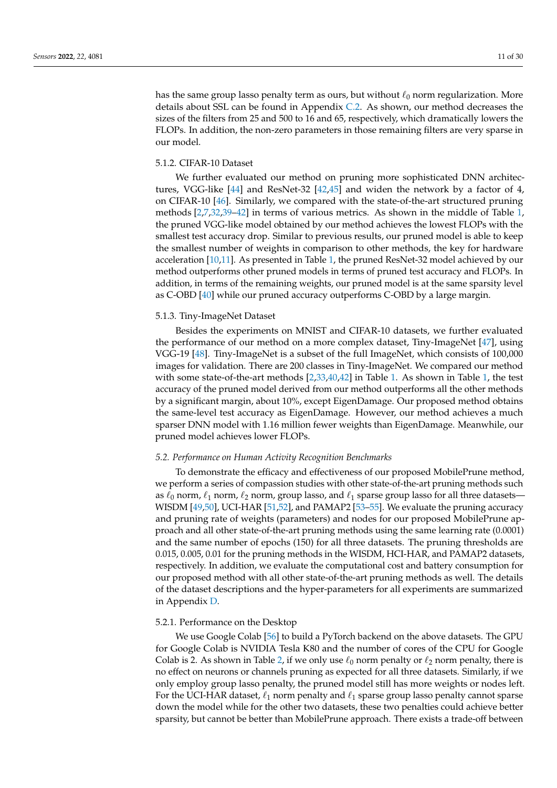has the same group lasso penalty term as ours, but without  $\ell_0$  norm regularization. More details about SSL can be found in Appendix [C.2.](#page-20-2) As shown, our method decreases the sizes of the filters from 25 and 500 to 16 and 65, respectively, which dramatically lowers the FLOPs. In addition, the non-zero parameters in those remaining filters are very sparse in our model.

# 5.1.2. CIFAR-10 Dataset

We further evaluated our method on pruning more sophisticated DNN architectures, VGG-like [\[44\]](#page-28-11) and ResNet-32 [\[42,](#page-28-9)[45\]](#page-28-12) and widen the network by a factor of 4, on CIFAR-10 [\[46\]](#page-28-13). Similarly, we compared with the state-of-the-art structured pruning methods [\[2,](#page-26-2)[7,](#page-27-23)[32](#page-27-22)[,39–](#page-28-6)[42\]](#page-28-9) in terms of various metrics. As shown in the middle of Table [1,](#page-9-0) the pruned VGG-like model obtained by our method achieves the lowest FLOPs with the smallest test accuracy drop. Similar to previous results, our pruned model is able to keep the smallest number of weights in comparison to other methods, the key for hardware acceleration [\[10,](#page-27-3)[11\]](#page-27-4). As presented in Table [1,](#page-9-0) the pruned ResNet-32 model achieved by our method outperforms other pruned models in terms of pruned test accuracy and FLOPs. In addition, in terms of the remaining weights, our pruned model is at the same sparsity level as C-OBD [\[40\]](#page-28-7) while our pruned accuracy outperforms C-OBD by a large margin.

## 5.1.3. Tiny-ImageNet Dataset

Besides the experiments on MNIST and CIFAR-10 datasets, we further evaluated the performance of our method on a more complex dataset, Tiny-ImageNet [\[47\]](#page-28-14), using VGG-19 [\[48\]](#page-28-15). Tiny-ImageNet is a subset of the full ImageNet, which consists of 100,000 images for validation. There are 200 classes in Tiny-ImageNet. We compared our method with some state-of-the-art methods [\[2,](#page-26-2)[33,](#page-28-0)[40,](#page-28-7)[42\]](#page-28-9) in Table [1.](#page-9-0) As shown in Table [1,](#page-9-0) the test accuracy of the pruned model derived from our method outperforms all the other methods by a significant margin, about 10%, except EigenDamage. Our proposed method obtains the same-level test accuracy as EigenDamage. However, our method achieves a much sparser DNN model with 1.16 million fewer weights than EigenDamage. Meanwhile, our pruned model achieves lower FLOPs.

## *5.2. Performance on Human Activity Recognition Benchmarks*

To demonstrate the efficacy and effectiveness of our proposed MobilePrune method, we perform a series of compassion studies with other state-of-the-art pruning methods such as  $\ell_0$  norm,  $\ell_1$  norm,  $\ell_2$  norm, group lasso, and  $\ell_1$  sparse group lasso for all three datasets— WISDM [\[49](#page-28-16)[,50\]](#page-28-17), UCI-HAR [\[51,](#page-28-18)[52\]](#page-28-19), and PAMAP2 [\[53](#page-28-20)[–55\]](#page-28-21). We evaluate the pruning accuracy and pruning rate of weights (parameters) and nodes for our proposed MobilePrune approach and all other state-of-the-art pruning methods using the same learning rate (0.0001) and the same number of epochs (150) for all three datasets. The pruning thresholds are 0.015, 0.005, 0.01 for the pruning methods in the WISDM, HCI-HAR, and PAMAP2 datasets, respectively. In addition, we evaluate the computational cost and battery consumption for our proposed method with all other state-of-the-art pruning methods as well. The details of the dataset descriptions and the hyper-parameters for all experiments are summarized in Appendix [D.](#page-22-0)

## 5.2.1. Performance on the Desktop

We use Google Colab [\[56\]](#page-28-22) to build a PyTorch backend on the above datasets. The GPU for Google Colab is NVIDIA Tesla K80 and the number of cores of the CPU for Google Colab is 2. As shown in Table [2,](#page-11-0) if we only use  $\ell_0$  norm penalty or  $\ell_2$  norm penalty, there is no effect on neurons or channels pruning as expected for all three datasets. Similarly, if we only employ group lasso penalty, the pruned model still has more weights or nodes left. For the UCI-HAR dataset,  $\ell_1$  norm penalty and  $\ell_1$  sparse group lasso penalty cannot sparse down the model while for the other two datasets, these two penalties could achieve better sparsity, but cannot be better than MobilePrune approach. There exists a trade-off between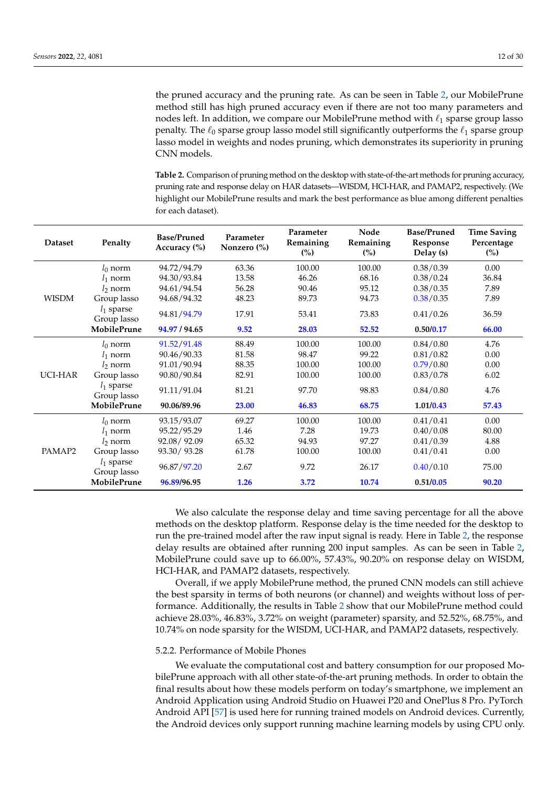the pruned accuracy and the pruning rate. As can be seen in Table [2,](#page-11-0) our MobilePrune method still has high pruned accuracy even if there are not too many parameters and nodes left. In addition, we compare our MobilePrune method with  $\ell_1$  sparse group lasso penalty. The  $\ell_0$  sparse group lasso model still significantly outperforms the  $\ell_1$  sparse group lasso model in weights and nodes pruning, which demonstrates its superiority in pruning CNN models.

<span id="page-11-0"></span>**Table 2.** Comparison of pruning method on the desktop with state-of-the-art methods for pruning accuracy, pruning rate and response delay on HAR datasets—WISDM, HCI-HAR, and PAMAP2, respectively. (We highlight our MobilePrune results and mark the best performance as blue among different penalties for each dataset).

| <b>Dataset</b> | Penalty                     | <b>Base/Pruned</b><br>Accuracy (%) | Parameter<br>Nonzero $\frac{6}{6}$ | Parameter<br>Remaining<br>(%) | Node<br>Remaining<br>(%) | <b>Base/Pruned</b><br>Response<br>Delay (s) | <b>Time Saving</b><br>Percentage<br>$\binom{0}{0}$ |
|----------------|-----------------------------|------------------------------------|------------------------------------|-------------------------------|--------------------------|---------------------------------------------|----------------------------------------------------|
|                | $l_0$ norm                  | 94.72/94.79                        | 63.36                              | 100.00                        | 100.00                   | 0.38/0.39                                   | 0.00                                               |
|                | $l_1$ norm                  | 94.30/93.84                        | 13.58                              | 46.26                         | 68.16                    | 0.38/0.24                                   | 36.84                                              |
|                | $l_2$ norm                  | 94.61/94.54                        | 56.28                              | 90.46                         | 95.12                    | 0.38/0.35                                   | 7.89                                               |
| <b>WISDM</b>   | Group lasso                 | 94.68/94.32                        | 48.23                              | 89.73                         | 94.73                    | 0.38/0.35                                   | 7.89                                               |
|                | $l_1$ sparse<br>Group lasso | 94.81/94.79                        | 17.91                              | 53.41                         | 73.83                    | 0.41/0.26                                   | 36.59                                              |
|                | <b>MobilePrune</b>          | 94.97 / 94.65                      | 9.52                               | 28.03                         | 52.52                    | 0.50/0.17                                   | 66.00                                              |
| UCI-HAR        | $l_0$ norm                  | 91.52/91.48                        | 88.49                              | 100.00                        | 100.00                   | 0.84/0.80                                   | 4.76                                               |
|                | $l_1$ norm                  | 90.46/90.33                        | 81.58                              | 98.47                         | 99.22                    | 0.81/0.82                                   | 0.00                                               |
|                | $l_2$ norm                  | 91.01/90.94                        | 88.35                              | 100.00                        | 100.00                   | 0.79/0.80                                   | 0.00                                               |
|                | Group lasso                 | 90.80/90.84                        | 82.91                              | 100.00                        | 100.00                   | 0.83/0.78                                   | 6.02                                               |
|                | $l_1$ sparse<br>Group lasso | 91.11/91.04                        | 81.21                              | 97.70                         | 98.83                    | 0.84/0.80                                   | 4.76                                               |
|                | <b>MobilePrune</b>          | 90.06/89.96                        | 23.00                              | 46.83                         | 68.75                    | 1.01/0.43                                   | 57.43                                              |
|                | $l_0$ norm                  | 93.15/93.07                        | 69.27                              | 100.00                        | 100.00                   | 0.41/0.41                                   | 0.00                                               |
|                | $l_1$ norm                  | 95.22/95.29                        | 1.46                               | 7.28                          | 19.73                    | 0.40/0.08                                   | 80.00                                              |
|                | $\frac{1}{2}$ norm          | 92.08/92.09                        | 65.32                              | 94.93                         | 97.27                    | 0.41/0.39                                   | 4.88                                               |
| PAMAP2         | Group lasso                 | 93.30/93.28                        | 61.78                              | 100.00                        | 100.00                   | 0.41/0.41                                   | 0.00                                               |
|                | $l_1$ sparse<br>Group lasso | 96.87/97.20                        | 2.67                               | 9.72                          | 26.17                    | 0.40/0.10                                   | 75.00                                              |
|                | <b>MobilePrune</b>          | 96.89/96.95                        | 1.26                               | 3.72                          | 10.74                    | 0.51/0.05                                   | 90.20                                              |

We also calculate the response delay and time saving percentage for all the above methods on the desktop platform. Response delay is the time needed for the desktop to run the pre-trained model after the raw input signal is ready. Here in Table [2,](#page-11-0) the response delay results are obtained after running 200 input samples. As can be seen in Table [2,](#page-11-0) MobilePrune could save up to 66.00%, 57.43%, 90.20% on response delay on WISDM, HCI-HAR, and PAMAP2 datasets, respectively.

Overall, if we apply MobilePrune method, the pruned CNN models can still achieve the best sparsity in terms of both neurons (or channel) and weights without loss of performance. Additionally, the results in Table [2](#page-11-0) show that our MobilePrune method could achieve 28.03%, 46.83%, 3.72% on weight (parameter) sparsity, and 52.52%, 68.75%, and 10.74% on node sparsity for the WISDM, UCI-HAR, and PAMAP2 datasets, respectively.

## 5.2.2. Performance of Mobile Phones

We evaluate the computational cost and battery consumption for our proposed MobilePrune approach with all other state-of-the-art pruning methods. In order to obtain the final results about how these models perform on today's smartphone, we implement an Android Application using Android Studio on Huawei P20 and OnePlus 8 Pro. PyTorch Android API [\[57\]](#page-28-23) is used here for running trained models on Android devices. Currently, the Android devices only support running machine learning models by using CPU only.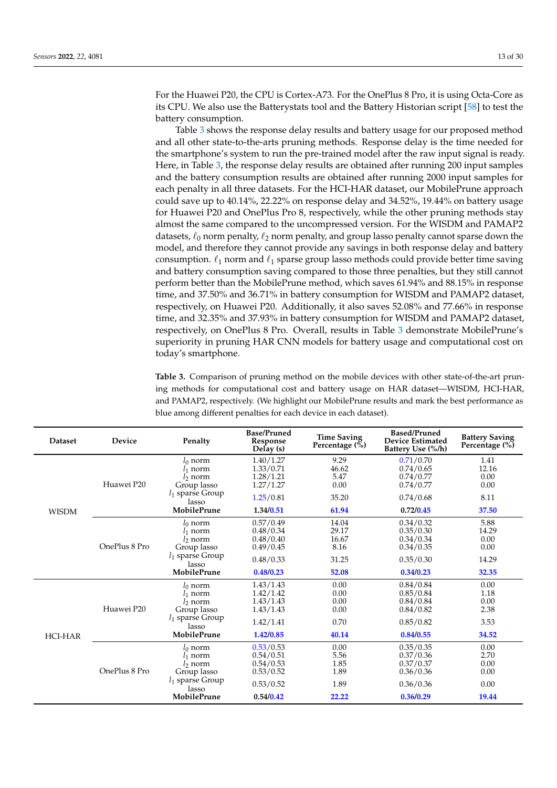For the Huawei P20, the CPU is Cortex-A73. For the OnePlus 8 Pro, it is using Octa-Core as its CPU. We also use the Batterystats tool and the Battery Historian script [\[58\]](#page-28-24) to test the battery consumption.

Table [3](#page-13-1) shows the response delay results and battery usage for our proposed method and all other state-to-the-arts pruning methods. Response delay is the time needed for the smartphone's system to run the pre-trained model after the raw input signal is ready. Here, in Table [3,](#page-13-1) the response delay results are obtained after running 200 input samples and the battery consumption results are obtained after running 2000 input samples for each penalty in all three datasets. For the HCI-HAR dataset, our MobilePrune approach could save up to 40.14%, 22.22% on response delay and 34.52%, 19.44% on battery usage for Huawei P20 and OnePlus Pro 8, respectively, while the other pruning methods stay almost the same compared to the uncompressed version. For the WISDM and PAMAP2 datasets,  $\ell_0$  norm penalty,  $\ell_2$  norm penalty, and group lasso penalty cannot sparse down the model, and therefore they cannot provide any savings in both response delay and battery consumption.  $\ell_1$  norm and  $\ell_1$  sparse group lasso methods could provide better time saving and battery consumption saving compared to those three penalties, but they still cannot perform better than the MobilePrune method, which saves 61.94% and 88.15% in response time, and 37.50% and 36.71% in battery consumption for WISDM and PAMAP2 dataset, respectively, on Huawei P20. Additionally, it also saves 52.08% and 77.66% in response time, and 32.35% and 37.93% in battery consumption for WISDM and PAMAP2 dataset, respectively, on OnePlus 8 Pro. Overall, results in Table [3](#page-13-1) demonstrate MobilePrune's superiority in pruning HAR CNN models for battery usage and computational cost on today's smartphone.

**Table 3.** Comparison of pruning method on the mobile devices with other state-of-the-art pruning methods for computational cost and battery usage on HAR dataset—WISDM, HCI-HAR, and PAMAP2, respectively. (We highlight our MobilePrune results and mark the best performance as blue among different penalties for each device in each dataset).

| <b>Dataset</b> | <b>Device</b> | Penalty                     | <b>Base/Pruned</b><br>Response<br>Delay (s) | <b>Time Saving</b><br>Percentage $(\bar{\%})$ | <b>Based/Pruned</b><br><b>Device Estimated</b><br>Battery Use (%/h) | <b>Battery Saving</b><br>Percentage (%) |
|----------------|---------------|-----------------------------|---------------------------------------------|-----------------------------------------------|---------------------------------------------------------------------|-----------------------------------------|
|                |               | $l_0$ norm                  | 1.40/1.27                                   | 9.29                                          | 0.71/0.70                                                           | 1.41                                    |
|                |               | $l_1$ norm                  | 1.33/0.71                                   | 46.62                                         | 0.74/0.65                                                           | 12.16                                   |
|                |               | $l_2$ norm                  | 1.28/1.21                                   | 5.47                                          | 0.74/0.77                                                           | 0.00                                    |
|                | Huawei P20    | Group lasso                 | 1.27/1.27                                   | 0.00                                          | 0.74/0.77                                                           | 0.00                                    |
|                |               | $l_1$ sparse Group<br>lasso | 1.25/0.81                                   | 35.20                                         | 0.74/0.68                                                           | 8.11                                    |
| <b>WISDM</b>   |               | MobilePrune                 | 1.34/0.51                                   | 61.94                                         | 0.72/0.45                                                           | 37.50                                   |
|                |               | $l_0$ norm                  | 0.57/0.49                                   | 14.04                                         | 0.34/0.32                                                           | 5.88                                    |
|                |               | $l_1$ norm                  | 0.48/0.34                                   | 29.17                                         | 0.35/0.30                                                           | 14.29                                   |
|                | OnePlus 8 Pro | $\frac{1}{2}$ norm          | 0.48/0.40                                   | 16.67                                         | 0.34/0.34                                                           | 0.00                                    |
|                |               | Group lasso                 | 0.49/0.45                                   | 8.16                                          | 0.34/0.35                                                           | 0.00                                    |
|                |               | $l_1$ sparse Group<br>lasso | 0.48/0.33                                   | 31.25                                         | 0.35/0.30                                                           | 14.29                                   |
|                |               | MobilePrune                 | 0.48/0.23                                   | 52.08                                         | 0.34/0.23                                                           | 32.35                                   |
|                |               | $l_0$ norm                  | 1.43/1.43                                   | 0.00                                          | 0.84/0.84                                                           | 0.00                                    |
|                |               | $l_1$ norm                  | 1.42/1.42                                   | 0.00                                          | 0.85/0.84                                                           | 1.18                                    |
|                | Huawei P20    | l <sub>2</sub> norm         | 1.43/1.43                                   | 0.00                                          | 0.84/0.84                                                           | 0.00                                    |
|                |               | Group lasso                 | 1.43/1.43                                   | 0.00                                          | 0.84/0.82                                                           | 2.38                                    |
| <b>HCI-HAR</b> |               | $l_1$ sparse Group<br>lasso | 1.42/1.41                                   | 0.70                                          | 0.85/0.82                                                           | 3.53                                    |
|                |               | MobilePrune                 | 1.42/0.85                                   | 40.14                                         | 0.84/0.55                                                           | 34.52                                   |
|                |               | $l_0$ norm                  | 0.53/0.53                                   | 0.00                                          | 0.35/0.35                                                           | 0.00                                    |
|                |               | $l_1$ norm                  | 0.54/0.51                                   | 5.56                                          | 0.37/0.36                                                           | 2.70                                    |
|                |               | $l_2$ norm                  | 0.54/0.53                                   | 1.85                                          | 0.37/0.37                                                           | 0.00                                    |
|                | OnePlus 8 Pro | Group lasso                 | 0.53/0.52                                   | 1.89                                          | 0.36/0.36                                                           | 0.00                                    |
|                |               | $l_1$ sparse Group<br>lasso | 0.53/0.52                                   | 1.89                                          | 0.36/0.36                                                           | 0.00                                    |
|                |               | MobilePrune                 | 0.54/0.42                                   | 22.22                                         | 0.36/0.29                                                           | 19.44                                   |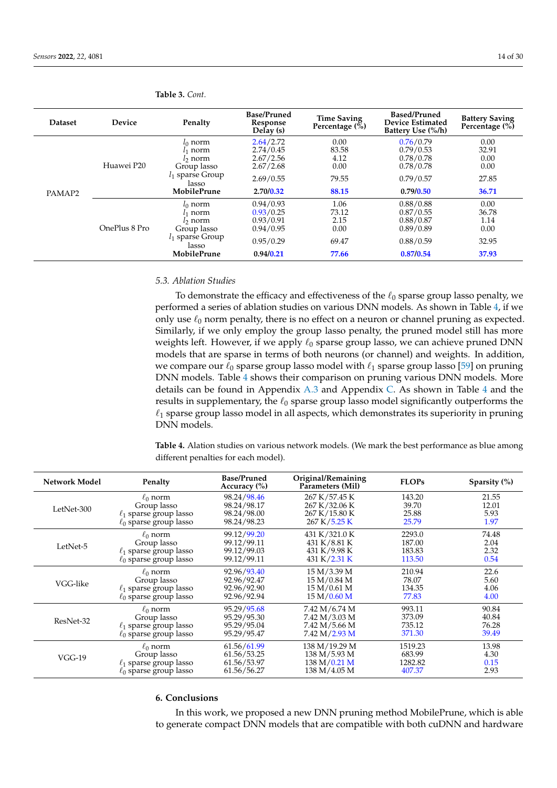| <b>Dataset</b> | Device        | Penalty                                                                                    | <b>Base/Pruned</b><br>Response<br>Delay (s)                   | <b>Time Saving</b><br>Percentage $(\% )$ | <b>Based/Pruned</b><br><b>Device Estimated</b><br>Battery Use (%/h) | <b>Battery Saving</b><br>Percentage (%) |
|----------------|---------------|--------------------------------------------------------------------------------------------|---------------------------------------------------------------|------------------------------------------|---------------------------------------------------------------------|-----------------------------------------|
|                | Huawei P20    | $l_0$ norm<br>!1 norm<br>l <sub>2</sub> norm<br>Group lasso<br>$l_1$ sparse Group<br>lasso | 2.64/2.72<br>2.74/0.45<br>2.67/2.56<br>2.67/2.68<br>2.69/0.55 | 0.00<br>83.58<br>4.12<br>0.00<br>79.55   | 0.76/0.79<br>0.79/0.53<br>0.78/0.78<br>0.78/0.78<br>0.79/0.57       | 0.00<br>32.91<br>0.00<br>0.00<br>27.85  |
| PAMAP2         |               | <b>MobilePrune</b>                                                                         | 2.70/0.32                                                     | 88.15                                    | 0.79/0.50                                                           | 36.71                                   |
|                | OnePlus 8 Pro | $l_0$ norm<br>l1 norm<br>l2 norm<br>Group lasso<br>$l_1$ sparse Group<br>lasso             | 0.94/0.93<br>0.93/0.25<br>0.93/0.91<br>0.94/0.95<br>0.95/0.29 | 1.06<br>73.12<br>2.15<br>0.00<br>69.47   | 0.88/0.88<br>0.87/0.55<br>0.88/0.87<br>0.89/0.89<br>0.88/0.59       | 0.00<br>36.78<br>1.14<br>0.00<br>32.95  |
|                |               | <b>MobilePrune</b>                                                                         | 0.94/0.21                                                     | 77.66                                    | 0.87/0.54                                                           | 37.93                                   |

<span id="page-13-1"></span>**Table 3.** *Cont.*

# <span id="page-13-3"></span>*5.3. Ablation Studies*

To demonstrate the efficacy and effectiveness of the  $\ell_0$  sparse group lasso penalty, we performed a series of ablation studies on various DNN models. As shown in Table [4,](#page-13-2) if we only use  $\ell_0$  norm penalty, there is no effect on a neuron or channel pruning as expected. Similarly, if we only employ the group lasso penalty, the pruned model still has more weights left. However, if we apply  $\ell_0$  sparse group lasso, we can achieve pruned DNN models that are sparse in terms of both neurons (or channel) and weights. In addition, we compare our  $\ell_0$  sparse group lasso model with  $\ell_1$  sparse group lasso [\[59\]](#page-28-25) on pruning DNN models. Table [4](#page-13-2) shows their comparison on pruning various DNN models. More details can be found in Appendix [A.3](#page-17-2) and Appendix [C.](#page-20-0) As shown in Table [4](#page-13-2) and the results in supplementary, the  $\ell_0$  sparse group lasso model significantly outperforms the  $\ell_1$  sparse group lasso model in all aspects, which demonstrates its superiority in pruning DNN models.

<span id="page-13-2"></span>**Table 4.** Alation studies on various network models. (We mark the best performance as blue among different penalties for each model).

| <b>Network Model</b> | Penalty                     | <b>Base/Pruned</b><br>Accuracy $(\% )$ | Original/Remaining<br>Parameters (Mil) | <b>FLOPs</b> | Sparsity $(\%)$ |
|----------------------|-----------------------------|----------------------------------------|----------------------------------------|--------------|-----------------|
| LetNet-300           | $\ell_0$ norm               | 98.24/98.46                            | 267 K/57.45 K                          | 143.20       | 21.55           |
|                      | Group lasso                 | 98.24/98.17                            | 267 K/32.06 K                          | 39.70        | 12.01           |
|                      | $\ell_1$ sparse group lasso | 98.24/98.00                            | 267 K/15.80 K                          | 25.88        | 5.93            |
|                      | $\ell_0$ sparse group lasso | 98.24/98.23                            | 267 K/5.25 K                           | 25.79        | 1.97            |
| LetNet-5             | $\ell_0$ norm               | 99.12/99.20                            | 431 K/321.0 K                          | 2293.0       | 74.48           |
|                      | Group lasso                 | 99.12/99.11                            | 431 K/8.81 K                           | 187.00       | 2.04            |
|                      | $\ell_1$ sparse group lasso | 99.12/99.03                            | 431 K/9.98 K                           | 183.83       | 2.32            |
|                      | $\ell_0$ sparse group lasso | 99.12/99.11                            | 431 K/2.31 K                           | 113.50       | 0.54            |
| VGG-like             | $\ell_0$ norm               | 92.96/93.40                            | 15 M/3.39 M                            | 210.94       | 22.6            |
|                      | Group lasso                 | 92.96/92.47                            | 15 M/0.84 M                            | 78.07        | 5.60            |
|                      | $\ell_1$ sparse group lasso | 92.96/92.90                            | 15 M/0.61 M                            | 134.35       | 4.06            |
|                      | $\ell_0$ sparse group lasso | 92.96/92.94                            | 15 M/0.60 M                            | 77.83        | 4.00            |
| ResNet-32            | $\ell_0$ norm               | 95.29/95.68                            | 7.42 M/6.74 M                          | 993.11       | 90.84           |
|                      | Group lasso                 | 95.29/95.30                            | 7.42 M/3.03 M                          | 373.09       | 40.84           |
|                      | $\ell_1$ sparse group lasso | 95.29/95.04                            | 7.42 M/5.66 M                          | 735.12       | 76.28           |
|                      | $\ell_0$ sparse group lasso | 95.29/95.47                            | 7.42 M/2.93 M                          | 371.30       | 39.49           |
| $VGG-19$             | $\ell_0$ norm               | 61.56/61.99                            | 138 M/19.29 M                          | 1519.23      | 13.98           |
|                      | Group lasso                 | 61.56/53.25                            | 138 M/5.93 M                           | 683.99       | 4.30            |
|                      | $\ell_1$ sparse group lasso | 61.56/53.97                            | 138 M/0.21 M                           | 1282.82      | 0.15            |
|                      | $\ell_0$ sparse group lasso | 61.56/56.27                            | 138 M/4.05 M                           | 407.37       | 2.93            |

# <span id="page-13-0"></span>**6. Conclusions**

In this work, we proposed a new DNN pruning method MobilePrune, which is able to generate compact DNN models that are compatible with both cuDNN and hardware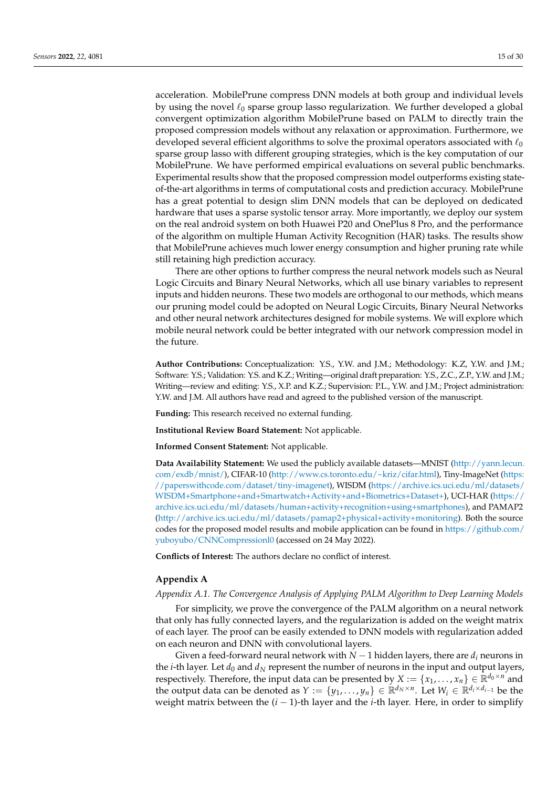acceleration. MobilePrune compress DNN models at both group and individual levels by using the novel  $\ell_0$  sparse group lasso regularization. We further developed a global convergent optimization algorithm MobilePrune based on PALM to directly train the proposed compression models without any relaxation or approximation. Furthermore, we developed several efficient algorithms to solve the proximal operators associated with  $\ell_0$ sparse group lasso with different grouping strategies, which is the key computation of our MobilePrune. We have performed empirical evaluations on several public benchmarks. Experimental results show that the proposed compression model outperforms existing stateof-the-art algorithms in terms of computational costs and prediction accuracy. MobilePrune has a great potential to design slim DNN models that can be deployed on dedicated hardware that uses a sparse systolic tensor array. More importantly, we deploy our system on the real android system on both Huawei P20 and OnePlus 8 Pro, and the performance of the algorithm on multiple Human Activity Recognition (HAR) tasks. The results show that MobilePrune achieves much lower energy consumption and higher pruning rate while still retaining high prediction accuracy.

There are other options to further compress the neural network models such as Neural Logic Circuits and Binary Neural Networks, which all use binary variables to represent inputs and hidden neurons. These two models are orthogonal to our methods, which means our pruning model could be adopted on Neural Logic Circuits, Binary Neural Networks and other neural network architectures designed for mobile systems. We will explore which mobile neural network could be better integrated with our network compression model in the future.

**Author Contributions:** Conceptualization: Y.S., Y.W. and J.M.; Methodology: K.Z, Y.W. and J.M.; Software: Y.S.; Validation: Y.S. and K.Z.; Writing—original draft preparation: Y.S., Z.C., Z.P., Y.W. and J.M.; Writing—review and editing: Y.S., X.P. and K.Z.; Supervision: P.L., Y.W. and J.M.; Project administration: Y.W. and J.M. All authors have read and agreed to the published version of the manuscript.

**Funding:** This research received no external funding.

**Institutional Review Board Statement:** Not applicable.

**Informed Consent Statement:** Not applicable.

**Data Availability Statement:** We used the publicly available datasets—MNIST [\(http://yann.lecun.](http://yann.lecun.com/exdb/mnist/) [com/exdb/mnist/\)](http://yann.lecun.com/exdb/mnist/), CIFAR-10 [\(http://www.cs.toronto.edu/~kriz/cifar.html\)](http://www.cs.toronto.edu/~kriz/cifar.html), Tiny-ImageNet [\(https:](https://paperswithcode.com/dataset/tiny-imagenet) [//paperswithcode.com/dataset/tiny-imagenet\)](https://paperswithcode.com/dataset/tiny-imagenet), WISDM [\(https://archive.ics.uci.edu/ml/datasets/](https://archive.ics.uci.edu/ml/datasets/WISDM+Smartphone+and+Smartwatch+Activity+and+Biometrics+Dataset+) [WISDM+Smartphone+and+Smartwatch+Activity+and+Biometrics+Dataset+\)](https://archive.ics.uci.edu/ml/datasets/WISDM+Smartphone+and+Smartwatch+Activity+and+Biometrics+Dataset+), UCI-HAR [\(https://](https://archive.ics.uci.edu/ml/datasets/human+activity+recognition+using+smartphones) [archive.ics.uci.edu/ml/datasets/human+activity+recognition+using+smartphones\)](https://archive.ics.uci.edu/ml/datasets/human+activity+recognition+using+smartphones), and PAMAP2 [\(http://archive.ics.uci.edu/ml/datasets/pamap2+physical+activity+monitoring\)](http://archive.ics.uci.edu/ml/datasets/pamap2+physical+activity+monitoring). Both the source codes for the proposed model results and mobile application can be found in [https://github.com/](https://github.com/yuboyubo/CNNCompressionl0) [yuboyubo/CNNCompressionl0](https://github.com/yuboyubo/CNNCompressionl0) (accessed on 24 May 2022).

**Conflicts of Interest:** The authors declare no conflict of interest.

## <span id="page-14-0"></span>**Appendix A**

## *Appendix A.1. The Convergence Analysis of Applying PALM Algorithm to Deep Learning Models*

For simplicity, we prove the convergence of the PALM algorithm on a neural network that only has fully connected layers, and the regularization is added on the weight matrix of each layer. The proof can be easily extended to DNN models with regularization added on each neuron and DNN with convolutional layers.

Given a feed-forward neural network with  $N-1$  hidden layers, there are  $d_i$  neurons in the *i*-th layer. Let  $d_0$  and  $d_N$  represent the number of neurons in the input and output layers, respectively. Therefore, the input data can be presented by  $X := \{x_1, \ldots, x_n\} \in \mathbb{R}^{d_0 \times n}$  and the output data can be denoted as  $Y := \{y_1, \ldots, y_n\} \in \mathbb{R}^{d_N \times n}$ . Let  $W_i \in \mathbb{R}^{d_i \times d_{i-1}}$  be the weight matrix between the (*i* − 1)-th layer and the *i*-th layer. Here, in order to simplify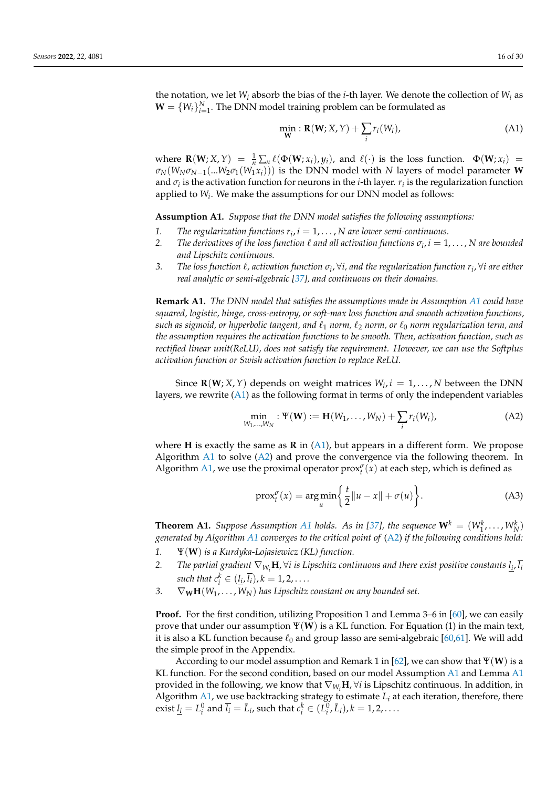the notation, we let *W<sup>i</sup>* absorb the bias of the *i*-th layer. We denote the collection of *W<sup>i</sup>* as  $\mathbf{W} = \{W_i\}_{i=1}^N$ . The DNN model training problem can be formulated as

<span id="page-15-1"></span>
$$
\min_{\mathbf{W}} : \mathbf{R}(\mathbf{W}; X, Y) + \sum_{i} r_i(W_i), \tag{A1}
$$

where **R**(**W**; *X*, *Y*) =  $\frac{1}{n} \sum_{n} \ell(\Phi(\mathbf{W}; x_i), y_i)$ , and  $\ell(\cdot)$  is the loss function.  $\Phi(\mathbf{W}; x_i)$  =  $\sigma_N(W_N \sigma_{N-1}(\ldots W_2 \sigma_1(W_1 x_i))$  is the DNN model with *N* layers of model parameter **W** and  $\sigma_i$  is the activation function for neurons in the *i*-th layer.  $r_i$  is the regularization function applied to *W<sup>i</sup>* . We make the assumptions for our DNN model as follows:

<span id="page-15-0"></span>**Assumption A1.** *Suppose that the DNN model satisfies the following assumptions:*

- 1. *The regularization functions*  $r_i$ ,  $i = 1, \ldots, N$  are lower semi-continuous.
- 2. *The derivatives of the loss function*  $\ell$  *and all activation functions*  $\sigma_i$ *,*  $i = 1, \ldots, N$  *are bounded and Lipschitz continuous.*
- *3. The loss function* `*, activation function σ<sup>i</sup>* , ∀*i, and the regularization function r<sup>i</sup>* , ∀*i are either real analytic or semi-algebraic [\[37\]](#page-28-4), and continuous on their domains.*

**Remark A1.** *The DNN model that satisfies the assumptions made in Assumption [A1](#page-15-0) could have squared, logistic, hinge, cross-entropy, or soft-max loss function and smooth activation functions, such as sigmoid, or hyperbolic tangent, and*  $\ell_1$  *norm,*  $\ell_2$  *norm, or*  $\ell_0$  *norm regularization term, and the assumption requires the activation functions to be smooth. Then, activation function, such as rectified linear unit(ReLU), does not satisfy the requirement. However, we can use the Softplus activation function or Swish activation function to replace ReLU.*

Since **R**(**W**; *X*, *Y*) depends on weight matrices  $W_i$ ,  $i = 1,..., N$  between the DNN layers, we rewrite [\(A1\)](#page-15-1) as the following format in terms of only the independent variables

<span id="page-15-2"></span>
$$
\min_{W_1,\ldots,W_N} : \Psi(\mathbf{W}) := \mathbf{H}(W_1,\ldots,W_N) + \sum_i r_i(W_i),
$$
\n(A2)

where **H** is exactly the same as **R** in  $(A1)$ , but appears in a different form. We propose Algorithm  $\Delta$ 1 to solve ( $\Delta$ 2) and prove the convergence via the following theorem. In Algorithm [A1,](#page-16-0) we use the proximal operator  $prox_t^{\sigma}(x)$  at each step, which is defined as

$$
\text{prox}_{t}^{\sigma}(x) = \underset{u}{\text{arg min}} \left\{ \frac{t}{2} \|u - x\| + \sigma(u) \right\}.
$$
 (A3)

**Theorem [A1](#page-15-0).** *Suppose Assumption A1 holds. As in [\[37\]](#page-28-4), the sequence*  $\mathbf{W}^k = (W^k_1, \dots, W^k_N)$ *generated by Algorithm [A1](#page-16-0) converges to the critical point of* [\(A2\)](#page-15-2) *if the following conditions hold:*

- *1.* Ψ(**W**) *is a Kurdyka-Lojasiewicz (KL) function.*
- *2. The partial gradient* ∇*Wi***H**, ∀*i is Lipschitz continuous and there exist positive constants l<sup>i</sup>* , *li such that*  $c_i^k \in (\underline{l_i}, \overline{l_i})$ ,  $k = 1, 2, \ldots$ .
- 3.  $\nabla_{\mathbf{W}}\mathbf{H}(W_1,\ldots,W_N)$  has Lipschitz constant on any bounded set.

**Proof.** For the first condition, utilizing Proposition 1 and Lemma 3–6 in [\[60\]](#page-29-0), we can easily prove that under our assumption Ψ(**W**) is a KL function. For Equation (1) in the main text, it is also a KL function because  $\ell_0$  and group lasso are semi-algebraic [\[60](#page-29-0)[,61\]](#page-29-1). We will add the simple proof in the Appendix.

According to our model assumption and Remark 1 in [\[62\]](#page-29-2), we can show that  $\Psi(\mathbf{W})$  is a KL function. For the second condition, based on our model Assumption [A1](#page-15-0) and Lemma [A1](#page-16-1) provided in the following, we know that ∇*Wi***H**, ∀*i* is Lipschitz continuous. In addition, in Algorithm [A1,](#page-16-0) we use backtracking strategy to estimate *L<sup>i</sup>* at each iteration, therefore, there exist  $l_i = L_i^0$  and  $\bar{l}_i = \bar{L}_i$ , such that  $c_i^k \in (L_i^0, \bar{L}_i)$ ,  $k = 1, 2, \ldots$ .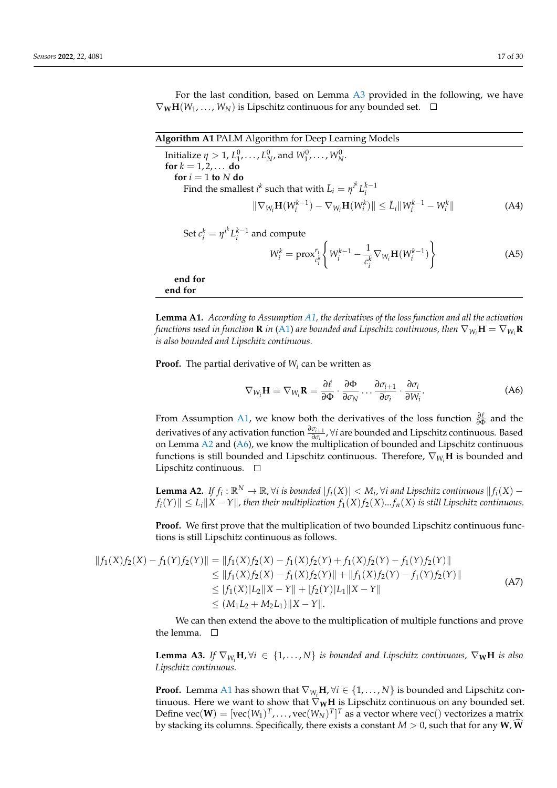For the last condition, based on Lemma [A3](#page-16-2) provided in the following, we have  $\nabla_{\mathbf{W}}\mathbf{H}(W_1,\ldots,W_N)$  is Lipschitz continuous for any bounded set.  $\square$ 

<span id="page-16-0"></span>

| Algorithm A1 PALM Algorithm for Deep Learning Models                                                                |      |
|---------------------------------------------------------------------------------------------------------------------|------|
| Initialize $\eta > 1, L_1^0, \ldots, L_N^0$ , and $W_1^0, \ldots, W_N^0$ .                                          |      |
| for $k = 1, 2, $ do                                                                                                 |      |
| for $i = 1$ to N do                                                                                                 |      |
| Find the smallest $i^k$ such that with $\bar{L}_i = \eta^{i^k} L_i^{k-1}$                                           |      |
| $\ \nabla_{W_i} \mathbf{H}(W_i^{k-1}) - \nabla_{W_i} \mathbf{H}(W_i^k)\  \leq \bar{L}_i \ W_i^{k-1} - W_i^k\ $      | (A4) |
| Set $c_i^k = \eta^{i^k} L_i^{k-1}$ and compute                                                                      |      |
| $W_i^k = \text{prox}_{c_i^k}^{r_i} \left\{ W_i^{k-1} - \frac{1}{c_i^k} \nabla_{W_i} \mathbf{H}(W_i^{k-1}) \right\}$ | (A5) |
| end for<br>end for                                                                                                  |      |

<span id="page-16-1"></span>**Lemma A1.** *According to Assumption [A1,](#page-15-0) the derivatives of the loss function and all the activation functions used in function* **R** *in* [\(A1\)](#page-15-1) *are bounded and Lipschitz continuous, then*  $\nabla_{W_i}$ **H** =  $\nabla_{W_i}$ **R** *is also bounded and Lipschitz continuous.*

**Proof.** The partial derivative of *W<sup>i</sup>* can be written as

<span id="page-16-4"></span>
$$
\nabla_{W_i} \mathbf{H} = \nabla_{W_i} \mathbf{R} = \frac{\partial \ell}{\partial \Phi} \cdot \frac{\partial \Phi}{\partial \sigma_N} \dots \frac{\partial \sigma_{i+1}}{\partial \sigma_i} \cdot \frac{\partial \sigma_i}{\partial W_i}.
$$
 (A6)

From Assumption [A1,](#page-15-0) we know both the derivatives of the loss function  $\frac{\partial \ell}{\partial \Phi}$  and the derivatives of any activation function *∂σi*+<sup>1</sup> *∂σi* , ∀*i* are bounded and Lipschitz continuous. Based on Lemma [A2](#page-16-3) and [\(A6\)](#page-16-4), we know the multiplication of bounded and Lipschitz continuous functions is still bounded and Lipschitz continuous. Therefore,  $\nabla_{W_i}$ **H** is bounded and Lipschitz continuous.  $\square$ 

<span id="page-16-3"></span>**Lemma A2.** If  $f_i$  : ℝ<sup>N</sup> → ℝ,∀*i is bounded*  $|f_i(X)| < M_i$ ,∀*i* and Lipschitz continuous  $||f_i(X)$  $f_i(Y)$   $\leq L_i$   $\|X - Y\|$ , then their multiplication  $f_1(X) f_2(X) ... f_n(X)$  is still Lipschitz continuous.

**Proof.** We first prove that the multiplication of two bounded Lipschitz continuous functions is still Lipschitz continuous as follows.

$$
||f_1(X)f_2(X) - f_1(Y)f_2(Y)|| = ||f_1(X)f_2(X) - f_1(X)f_2(Y) + f_1(X)f_2(Y) - f_1(Y)f_2(Y)||
$$
  
\n
$$
\leq ||f_1(X)f_2(X) - f_1(X)f_2(Y)|| + ||f_1(X)f_2(Y) - f_1(Y)f_2(Y)||
$$
  
\n
$$
\leq |f_1(X)|L_2||X - Y|| + |f_2(Y)|L_1||X - Y||
$$
  
\n
$$
\leq (M_1L_2 + M_2L_1)||X - Y||.
$$
 (A7)

We can then extend the above to the multiplication of multiple functions and prove the lemma.  $\square$ 

<span id="page-16-2"></span>**Lemma A3.** *If*  $\nabla_{W_i}$ **H**,  $\forall i \in \{1, ..., N\}$  *is bounded and Lipschitz continuous,*  $\nabla_{\bf W}$ **H** *is also Lipschitz continuous.*

**Proof.** Lemma [A1](#page-16-1) has shown that  $\nabla_{W_i}$ **H**,  $\forall i \in \{1, ..., N\}$  is bounded and Lipschitz continuous. Here we want to show that  $\nabla_{\mathbf{W}}\mathbf{H}$  is Lipschitz continuous on any bounded set. Define  $\text{vec}(\textbf{W}) = [\text{vec}(W_1)^T, \dots, \text{vec}(W_N)^T]^T$  as a vector where  $\text{vec}()$  vectorizes a matrix by stacking its columns. Specifically, there exists a constant  $M > 0$ , such that for any **W**, **W**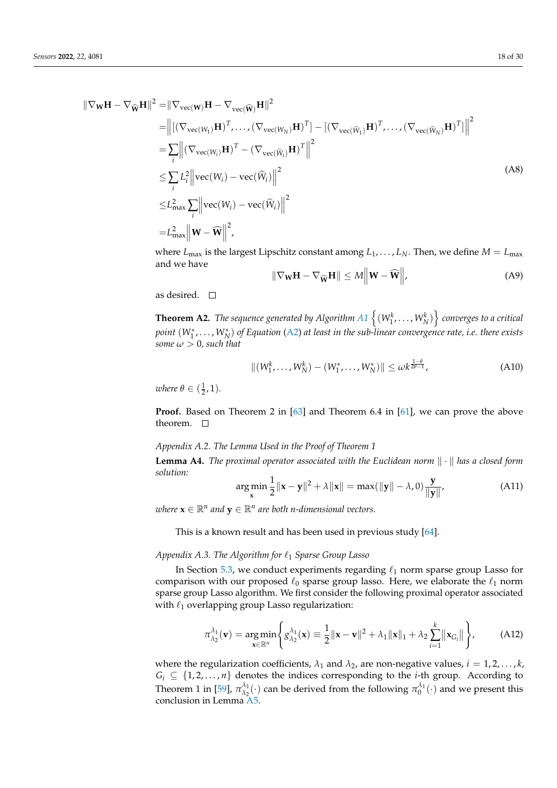$$
\|\nabla_{\mathbf{W}} \mathbf{H} - \nabla_{\widehat{\mathbf{W}}} \mathbf{H}\|^2 = \|\nabla_{\text{vec}(\mathbf{W})} \mathbf{H} - \nabla_{\text{vec}(\widehat{\mathbf{W}})} \mathbf{H}\|^2
$$
  
\n=
$$
\left\| [(\nabla_{\text{vec}(W_1)} \mathbf{H})^T, \dots, (\nabla_{\text{vec}(W_N)} \mathbf{H})^T] - [(\nabla_{\text{vec}(\widehat{W}_1)} \mathbf{H})^T, \dots, (\nabla_{\text{vec}(\widehat{W}_N)} \mathbf{H})^T] \right\|^2
$$
  
\n=
$$
\sum_{i} [(\nabla_{\text{vec}(W_i)} \mathbf{H})^T - (\nabla_{\text{vec}(\widehat{W}_i)} \mathbf{H})^T \|^2
$$
  
\n
$$
\leq \sum_{i} L_i^2 \left\| \text{vec}(W_i) - \text{vec}(\widehat{W}_i) \right\|^2
$$
  
\n
$$
\leq L_{\text{max}}^2 \sum_{i} \left\| \text{vec}(W_i) - \text{vec}(\widehat{W}_i) \right\|^2
$$
  
\n=
$$
L_{\text{max}}^2 \left\| \mathbf{W} - \widehat{\mathbf{W}} \right\|^2,
$$
 (A8)

where  $L_{\text{max}}$  is the largest Lipschitz constant among  $L_1, \ldots, L_N$ . Then, we define  $M = L_{\text{max}}$ and we have  $\mathbf{u}$  $\sim$ II

$$
\|\nabla_{\mathbf{W}}\mathbf{H} - \nabla_{\widehat{\mathbf{W}}}\mathbf{H}\| \le M \|\mathbf{W} - \widehat{\mathbf{W}}\|,\tag{A9}
$$

as desired.  $\square$ 

 $\bf{Theorem~A2.}$  *The sequence generated by Algorithm [A1](#page-16-0)*  $\left\{ (W_{1}^{k},\ldots,W_{N}^{k})\right\}$  converges to a critical *point* (*W*<sup>∗</sup> 1 , . . . , *W*<sup>∗</sup> *N* ) *of Equation* [\(A2\)](#page-15-2) *at least in the sub-linear convergence rate, i.e. there exists some*  $\omega > 0$ *, such that* 

$$
||(W_1^k, \dots, W_N^k) - (W_1^*, \dots, W_N^*)|| \le \omega k^{\frac{1-\theta}{2\theta-1}},
$$
\n(A10)

*where*  $\theta \in (\frac{1}{2}, 1)$ *.* 

**Proof.** Based on Theorem 2 in [\[63\]](#page-29-3) and Theorem 6.4 in [\[61\]](#page-29-1), we can prove the above theorem.  $\square$ 

## <span id="page-17-1"></span>*Appendix A.2. The Lemma Used in the Proof of Theorem 1*

<span id="page-17-0"></span>**Lemma A4.** The proximal operator associated with the Euclidean norm  $\|\cdot\|$  has a closed form *solution:*

$$
\arg\min_{\mathbf{x}} \frac{1}{2} ||\mathbf{x} - \mathbf{y}||^2 + \lambda ||\mathbf{x}|| = \max(||\mathbf{y}|| - \lambda, 0)\frac{\mathbf{y}}{||\mathbf{y}||},
$$
 (A11)

 $\mathbf{w}$  *kere*  $\mathbf{x} \in \mathbb{R}^n$  *and*  $\mathbf{y} \in \mathbb{R}^n$  *are both n-dimensional vectors.* 

This is a known result and has been used in previous study [\[64\]](#page-29-4).

## <span id="page-17-2"></span>*Appendix A.3. The Algorithm for*  $\ell_1$  *Sparse Group Lasso*

In Section [5.3,](#page-13-3) we conduct experiments regarding  $\ell_1$  norm sparse group Lasso for comparison with our proposed  $\ell_0$  sparse group lasso. Here, we elaborate the  $\ell_1$  norm sparse group Lasso algorithm. We first consider the following proximal operator associated with  $\ell_1$  overlapping group Lasso regularization:

$$
\pi_{\lambda_2}^{\lambda_1}(\mathbf{v}) = \underset{\mathbf{x} \in \mathbb{R}^n}{\arg \min} \left\{ g_{\lambda_2}^{\lambda_1}(\mathbf{x}) \equiv \frac{1}{2} ||\mathbf{x} - \mathbf{v}||^2 + \lambda_1 ||\mathbf{x}||_1 + \lambda_2 \sum_{i=1}^k ||\mathbf{x}_{G_i}|| \right\},\tag{A12}
$$

where the regularization coefficients,  $\lambda_1$  and  $\lambda_2$ , are non-negative values,  $i = 1, 2, \dots, k$ ,  $G_i \subseteq \{1, 2, ..., n\}$  denotes the indices corresponding to the *i*-th group. According to Theorem 1 in [\[59\]](#page-28-25),  $\pi_{\lambda_2}^{\lambda_1}$  $\lambda_1(\cdot)$  can be derived from the following  $\pi_0^{\lambda_1}(\cdot)$  and we present this conclusion in Lemma [A5.](#page-18-0)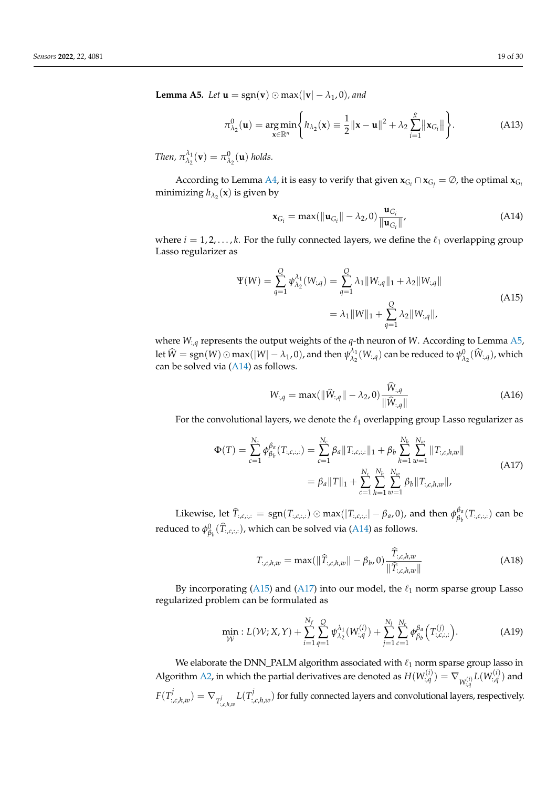<span id="page-18-0"></span>**Lemma A5.** *Let*  $\mathbf{u} = \text{sgn}(\mathbf{v}) \odot \text{max}(|\mathbf{v}| - \lambda_1, 0)$ *, and* 

$$
\pi_{\lambda_2}^0(\mathbf{u}) = \underset{\mathbf{x} \in \mathbb{R}^n}{\arg \min} \Bigg\{ h_{\lambda_2}(\mathbf{x}) \equiv \frac{1}{2} ||\mathbf{x} - \mathbf{u}||^2 + \lambda_2 \sum_{i=1}^g ||\mathbf{x}_{G_i}|| \Bigg\}. \tag{A13}
$$

*Then,*  $\pi_{\lambda_2}^{\lambda_1}$  $\lambda_1^{\lambda_1}(\mathbf{v}) = \pi_{\lambda_2}^0(\mathbf{u})$  holds.

According to Lemma [A4,](#page-17-0) it is easy to verify that given  $x_{G_i} \cap x_{G_j} = \emptyset$ , the optimal  $x_{G_i}$ minimizing  $h_{\lambda_2}(\mathbf{x})$  is given by

<span id="page-18-1"></span>
$$
\mathbf{x}_{G_i} = \max(||\mathbf{u}_{G_i}|| - \lambda_2, 0)\frac{\mathbf{u}_{G_i}}{||\mathbf{u}_{G_i}||},
$$
\n(A14)

where  $i = 1, 2, ..., k$ . For the fully connected layers, we define the  $\ell_1$  overlapping group Lasso regularizer as

<span id="page-18-2"></span>
$$
\Psi(W) = \sum_{q=1}^{Q} \psi_{\lambda_2}^{\lambda_1}(W_{:q}) = \sum_{q=1}^{Q} \lambda_1 \|W_{:q}\|_1 + \lambda_2 \|W_{:q}\|
$$
  
=  $\lambda_1 \|W\|_1 + \sum_{q=1}^{Q} \lambda_2 \|W_{:q}\|,$  (A15)

where *W*:,*<sup>q</sup>* represents the output weights of the *q*-th neuron of *W*. According to Lemma [A5,](#page-18-0) let  $\widehat{W} = \text{sgn}(W) \odot \max(|W| - \lambda_1, 0)$ , and then  $\psi_{\lambda_2}^{\lambda_1}$  $\frac{\lambda_1}{\lambda_2}(W_{:,\mathcal{q}})$  can be reduced to  $\psi_{\lambda_2}^0(\widehat W_{:,\mathcal{q}})$ , which can be solved via [\(A14\)](#page-18-1) as follows.

<span id="page-18-4"></span>
$$
W_{:q} = \max(||\widehat{W}_{:q}|| - \lambda_2, 0)\frac{W_{:q}}{||\widehat{W}_{:q}||}
$$
\n(A16)

For the convolutional layers, we denote the  $\ell_1$  overlapping group Lasso regularizer as

<span id="page-18-3"></span>
$$
\Phi(T) = \sum_{c=1}^{N_c} \phi_{\beta_b}^{\beta_a}(T_{:\,c\,:\,:}) = \sum_{c=1}^{N_c} \beta_a \|T_{:\,c\,:\,:}\|_1 + \beta_b \sum_{h=1}^{N_h} \sum_{w=1}^{N_w} \|T_{:\,c,h,w}\|
$$
\n
$$
= \beta_a \|T\|_1 + \sum_{c=1}^{N_c} \sum_{h=1}^{N_h} \sum_{w=1}^{N_w} \beta_b \|T_{:\,c,h,w}\|,\tag{A17}
$$

Likewise, let  $\widehat{T}_{:\,c,\,:,:} = \text{sgn}(T_{:\,c,\,:,:}) \odot \max(|T_{:\,c,\,:,:}| - \beta_a, 0)$ , and then  $\phi_{\beta_b}^{\beta_a}$ *βb* (*T*:,*c*,:,:) can be reduced to  $\phi^0_{\beta_b}(\widehat{T}_{:\text{\it c}:,\text{\it c}})$ , which can be solved via [\(A14\)](#page-18-1) as follows.

<span id="page-18-5"></span>
$$
T_{:,c,h,w} = \max(||\widehat{T}_{:,c,h,w}|| - \beta_b,0) \frac{\widehat{T}_{:,c,h,w}}{||\widehat{T}_{:,c,h,w}||}
$$
 (A18)

By incorporating [\(A15\)](#page-18-2) and [\(A17\)](#page-18-3) into our model, the  $\ell_1$  norm sparse group Lasso regularized problem can be formulated as

$$
\min_{\mathcal{W}}: L(\mathcal{W}; X, Y) + \sum_{i=1}^{N_f} \sum_{q=1}^{Q} \psi_{\lambda_2}^{\lambda_1}(W_{:\cdot,q}^{(i)}) + \sum_{j=1}^{N_l} \sum_{c=1}^{N_c} \phi_{\beta_b}^{\beta_a}(T_{:\cdot,c\cdot;\cdot}^{(j)}).
$$
(A19)

We elaborate the DNN\_PALM algorithm associated with  $\ell_1$  norm sparse group lasso in Algorithm [A2,](#page-19-1) in which the partial derivatives are denoted as  $H(W^{(i)}_{:q}) = \nabla_{W^{(i)}_{:q}} L(W^{(i)}_{:q})$  and  $F(T^j)$  $\sum_{i,c,h,w}^{j} L(T_{i,c,h,w}^j) = \nabla_{T_{i,c,h,w}^j} L(T_{i,w}^j)$  $\mathcal{C}_{\mathit{c},\mathit{h},\mathit{w}}^{y}$  for fully connected layers and convolutional layers, respectively.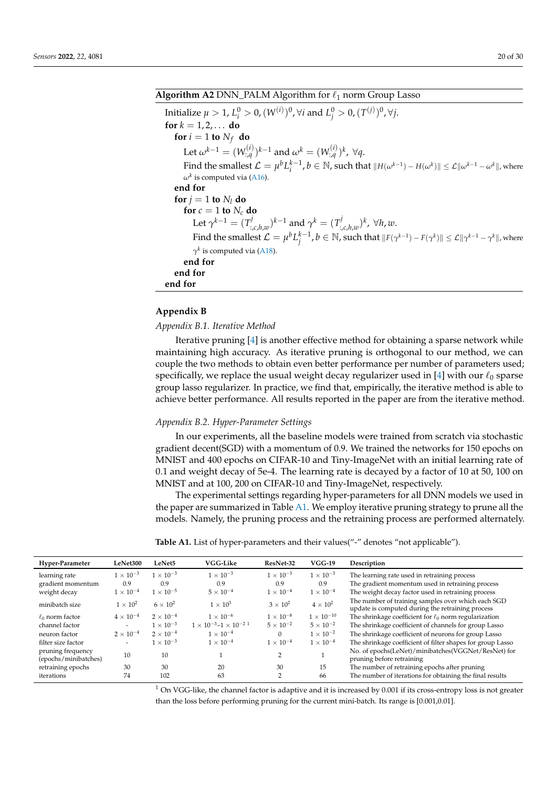# <span id="page-19-1"></span>**Algorithm A2** DNN\_PALM Algorithm for  $\ell_1$  norm Group Lasso

Initialize  $\mu > 1$ ,  $L_i^0 > 0$ ,  $(W^{(i)})^0$ ,  $\forall i$  and  $L_j^0 > 0$ ,  $(T^{(j)})^0$ ,  $\forall j$ . **for**  $k = 1, 2, ...$  **do for**  $i = 1$  **to**  $N_f$  **do** Let  $\omega^{k-1} = (W^{(i)}_{:\mathcal{A}})^{k-1}$  and  $\omega^k = (W^{(i)}_{:\mathcal{A}})^k$ ,  $\forall q$ . Find the smallest  $\mathcal{L} = \mu^b L_i^{k-1}$ ,  $b \in \mathbb{N}$ , such that  $||H(\omega^{k-1}) - H(\omega^k)|| \leq \mathcal{L}||\omega^{k-1} - \omega^k||$ , where  $\omega^k$  is computed via [\(A16\)](#page-18-4). **end for for**  $j = 1$  **to**  $N_l$  **do for**  $c = 1$  **to**  $N_c$  **do** Let  $\gamma^{k-1} = (T^j_{\gamma})$  $(x_i, t_{i,c,h,w})^{k-1}$  and  $\gamma^k = (T^j_{t_{i,c}^{k}})$ :,*c*,*h*,*w* ) *k* , ∀*h*, *w*. Find the smallest  $\mathcal{L} = \mu^b L_j^{k-1}$ ,  $b \in \mathbb{N}$ , such that  $\| F(\gamma^{k-1}) - F(\gamma^k) \| \leq \mathcal{L} \| \gamma^{k-1} - \gamma^k \|$ , where  $\gamma^k$  is computed via [\(A18\)](#page-18-5). **end for end for end for**

# <span id="page-19-0"></span>**Appendix B**

# *Appendix B.1. Iterative Method*

Iterative pruning [\[4\]](#page-26-1) is another effective method for obtaining a sparse network while maintaining high accuracy. As iterative pruning is orthogonal to our method, we can couple the two methods to obtain even better performance per number of parameters used; specifically, we replace the usual weight decay regularizer used in [\[4\]](#page-26-1) with our  $\ell_0$  sparse group lasso regularizer. In practice, we find that, empirically, the iterative method is able to achieve better performance. All results reported in the paper are from the iterative method.

## *Appendix B.2. Hyper-Parameter Settings*

In our experiments, all the baseline models were trained from scratch via stochastic gradient decent(SGD) with a momentum of 0.9. We trained the networks for 150 epochs on MNIST and 400 epochs on CIFAR-10 and Tiny-ImageNet with an initial learning rate of 0.1 and weight decay of 5e-4. The learning rate is decayed by a factor of 10 at 50, 100 on MNIST and at 100, 200 on CIFAR-10 and Tiny-ImageNet, respectively.

The experimental settings regarding hyper-parameters for all DNN models we used in the paper are summarized in Table [A1.](#page-19-2) We employ iterative pruning strategy to prune all the models. Namely, the pruning process and the retraining process are performed alternately.

<span id="page-19-2"></span>

| <b>Table A1.</b> List of hyper-parameters and their values("-" denotes "not applicable"). |  |  |
|-------------------------------------------------------------------------------------------|--|--|
|-------------------------------------------------------------------------------------------|--|--|

| The gradient momentum used in retraining process                                                       |
|--------------------------------------------------------------------------------------------------------|
| The weight decay factor used in retraining process                                                     |
| The number of training samples over which each SGD<br>update is computed during the retraining process |
| The shrinkage coefficient for $\ell_0$ norm regularization                                             |
| The shrinkage coefficient of channels for group Lasso                                                  |
| The shrinkage coefficient of neurons for group Lasso                                                   |
| The shrinkage coefficient of filter shapes for group Lasso                                             |
| No. of epochs(LeNet)/minibatches(VGGNet/ResNet) for                                                    |
|                                                                                                        |
| The number of iterations for obtaining the final results                                               |
| The number of retraining epochs after pruning                                                          |

 $1$  On VGG-like, the channel factor is adaptive and it is increased by 0.001 if its cross-entropy loss is not greater than the loss before performing pruning for the current mini-batch. Its range is [0.001,0.01].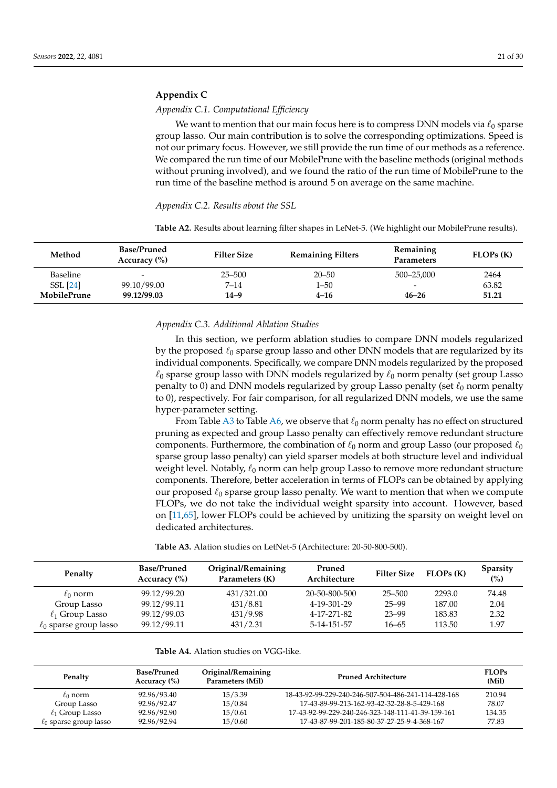# <span id="page-20-0"></span>**Appendix C**

# *Appendix C.1. Computational Efficiency*

We want to mention that our main focus here is to compress DNN models via  $\ell_0$  sparse group lasso. Our main contribution is to solve the corresponding optimizations. Speed is not our primary focus. However, we still provide the run time of our methods as a reference. We compared the run time of our MobilePrune with the baseline methods (original methods without pruning involved), and we found the ratio of the run time of MobilePrune to the run time of the baseline method is around 5 on average on the same machine.

## <span id="page-20-2"></span>*Appendix C.2. Results about the SSL*

<span id="page-20-1"></span>**Table A2.** Results about learning filter shapes in LeNet-5. (We highlight our MobilePrune results).

| Method          | <b>Base/Pruned</b><br>Accuracy $(\% )$ | <b>Filter Size</b> | <b>Remaining Filters</b> | Remaining<br><b>Parameters</b> | $FLOPs$ $(K)$ |
|-----------------|----------------------------------------|--------------------|--------------------------|--------------------------------|---------------|
| <b>Baseline</b> | $\overline{\phantom{0}}$               | $25 - 500$         | $20 - 50$                | 500-25,000                     | 2464          |
| <b>SSL</b> [24] | 99.10/99.00                            | $7 - 14$           | $1 - 50$                 | $\overline{\phantom{0}}$       | 63.82         |
| MobilePrune     | 99.12/99.03                            | $14 - 9$           | $4 - 16$                 | $46 - 26$                      | 51.21         |

## *Appendix C.3. Additional Ablation Studies*

In this section, we perform ablation studies to compare DNN models regularized by the proposed  $\ell_0$  sparse group lasso and other DNN models that are regularized by its individual components. Specifically, we compare DNN models regularized by the proposed  $\ell_0$  sparse group lasso with DNN models regularized by  $\ell_0$  norm penalty (set group Lasso penalty to 0) and DNN models regularized by group Lasso penalty (set  $\ell_0$  norm penalty to 0), respectively. For fair comparison, for all regularized DNN models, we use the same hyper-parameter setting.

From Table [A3](#page-20-3) to Table [A6,](#page-21-0) we observe that  $\ell_0$  norm penalty has no effect on structured pruning as expected and group Lasso penalty can effectively remove redundant structure components. Furthermore, the combination of  $\ell_0$  norm and group Lasso (our proposed  $\ell_0$ sparse group lasso penalty) can yield sparser models at both structure level and individual weight level. Notably,  $\ell_0$  norm can help group Lasso to remove more redundant structure components. Therefore, better acceleration in terms of FLOPs can be obtained by applying our proposed  $\ell_0$  sparse group lasso penalty. We want to mention that when we compute FLOPs, we do not take the individual weight sparsity into account. However, based on [\[11,](#page-27-4)[65\]](#page-29-5), lower FLOPs could be achieved by unitizing the sparsity on weight level on dedicated architectures.

<span id="page-20-3"></span>**Table A3.** Alation studies on LetNet-5 (Architecture: 20-50-800-500).

| Penalty                     | <b>Base/Pruned</b><br>Accuracy $(\% )$ | Original/Remaining<br>Parameters (K) | Pruned<br>Architecture | <b>Filter Size</b> | FLOPs(K) | <b>Sparsity</b><br>(%) |
|-----------------------------|----------------------------------------|--------------------------------------|------------------------|--------------------|----------|------------------------|
| $\ell_0$ norm               | 99.12/99.20                            | 431/321.00                           | 20-50-800-500          | 25–500             | 2293.0   | 74.48                  |
| Group Lasso                 | 99.12/99.11                            | 431/8.81                             | 4-19-301-29            | 25–99              | 187.00   | 2.04                   |
| $\ell_1$ Group Lasso        | 99.12/99.03                            | 431/9.98                             | 4-17-271-82            | 23-99              | 183.83   | 2.32                   |
| $\ell_0$ sparse group lasso | 99.12/99.11                            | 431/2.31                             | 5-14-151-57            | $16 - 65$          | 113.50   | 1.97                   |

|  |  |  | <b>Table A4.</b> Alation studies on VGG-like. |
|--|--|--|-----------------------------------------------|
|  |  |  |                                               |

| Penalty                     | <b>Base/Pruned</b><br>Accuracy $(\% )$ | Original/Remaining<br>Parameters (Mil) | Pruned Architecture                                 | <b>FLOPs</b><br>(Mil) |
|-----------------------------|----------------------------------------|----------------------------------------|-----------------------------------------------------|-----------------------|
| $\ell_0$ norm               | 92.96/93.40                            | 15/3.39                                | 18-43-92-99-229-240-246-507-504-486-241-114-428-168 | 210.94                |
| Group Lasso                 | 92.96/92.47                            | 15/0.84                                | 17-43-89-99-213-162-93-42-32-28-8-5-429-168         | 78.07                 |
| $\ell_1$ Group Lasso        | 92.96/92.90                            | 15/0.61                                | 17-43-92-99-229-240-246-323-148-111-41-39-159-161   | 134.35                |
| $\ell_0$ sparse group lasso | 92.96/92.94                            | 15/0.60                                | 17-43-87-99-201-185-80-37-27-25-9-4-368-167         | 77.83                 |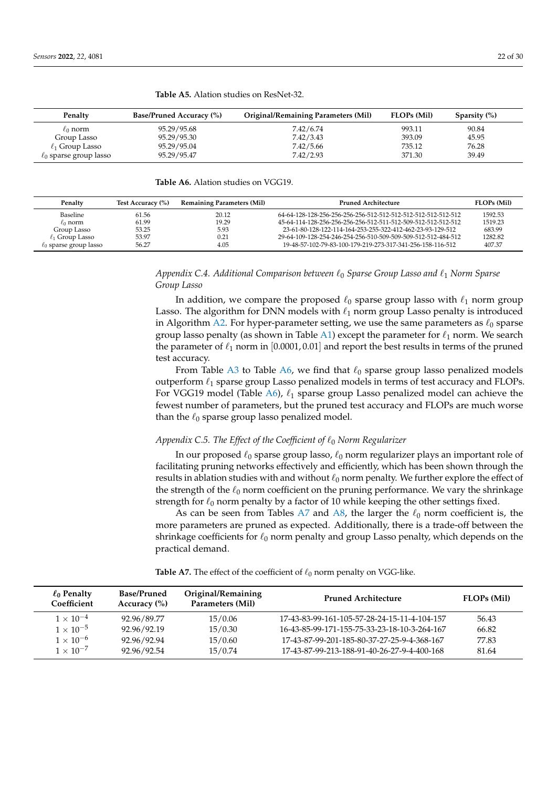| Penalty                     | <b>Base/Pruned Accuracy (%)</b> | Original/Remaining Parameters (Mil) | <b>FLOPs</b> (Mil) | Sparsity $(\%)$ |
|-----------------------------|---------------------------------|-------------------------------------|--------------------|-----------------|
| $\ell_0$ norm               | 95.29/95.68                     | 7.42/6.74                           | 993.11             | 90.84           |
| Group Lasso                 | 95.29/95.30                     | 7.42/3.43                           | 393.09             | 45.95           |
| $\ell_1$ Group Lasso        | 95.29/95.04                     | 7.42/5.66                           | 735.12             | 76.28           |
| $\ell_0$ sparse group lasso | 95.29/95.47                     | 7.42/2.93                           | 371.30             | 39.49           |

**Table A5.** Alation studies on ResNet-32.

<span id="page-21-0"></span>**Table A6.** Alation studies on VGG19.

| Penalty                     | Test Accuracy (%) | <b>Remaining Parameters (Mil)</b> | <b>Pruned Architecture</b>                                    | <b>FLOPs</b> (Mil) |
|-----------------------------|-------------------|-----------------------------------|---------------------------------------------------------------|--------------------|
| Baseline                    | 61.56             | 20.12                             | 64-64-128-128-256-256-256-256-512-512-512-512-512-512-512-512 | 1592.53            |
| $\ell_0$ norm               | 61.99             | 19.29                             | 45-64-114-128-256-256-256-256-512-511-512-509-512-512-512-512 | 1519.23            |
| Group Lasso                 | 53.25             | 5.93                              | 23-61-80-128-122-114-164-253-255-322-412-462-23-93-129-512    | 683.99             |
| $\ell_1$ Group Lasso        | 53.97             | 0.21                              | 29-64-109-128-254-246-254-256-510-509-509-509-512-512-484-512 | 1282.82            |
| $\ell_0$ sparse group lasso | 56.27             | 4.05                              | 19-48-57-102-79-83-100-179-219-273-317-341-256-158-116-512    | 407.37             |

# *Appendix C.4. Additional Comparison between*  $\ell_0$  *Sparse Group Lasso and*  $\ell_1$  *Norm Sparse Group Lasso*

In addition, we compare the proposed  $\ell_0$  sparse group lasso with  $\ell_1$  norm group Lasso. The algorithm for DNN models with  $\ell_1$  norm group Lasso penalty is introduced in Algorithm [A2.](#page-19-1) For hyper-parameter setting, we use the same parameters as  $\ell_0$  sparse group lasso penalty (as shown in Table [A1\)](#page-19-2) except the parameter for  $\ell_1$  norm. We search the parameter of  $\ell_1$  norm in [0.0001, 0.01] and report the best results in terms of the pruned test accuracy.

From Table [A3](#page-20-3) to Table [A6,](#page-21-0) we find that  $\ell_0$  sparse group lasso penalized models outperform  $\ell_1$  sparse group Lasso penalized models in terms of test accuracy and FLOPs. For VGG19 model (Table [A6\)](#page-21-0),  $\ell_1$  sparse group Lasso penalized model can achieve the fewest number of parameters, but the pruned test accuracy and FLOPs are much worse than the  $\ell_0$  sparse group lasso penalized model.

# *Appendix C.5. The Effect of the Coefficient of*  $\ell_0$  *Norm Regularizer*

In our proposed  $\ell_0$  sparse group lasso,  $\ell_0$  norm regularizer plays an important role of facilitating pruning networks effectively and efficiently, which has been shown through the results in ablation studies with and without  $\ell_0$  norm penalty. We further explore the effect of the strength of the  $\ell_0$  norm coefficient on the pruning performance. We vary the shrinkage strength for  $\ell_0$  norm penalty by a factor of 10 while keeping the other settings fixed.

As can be seen from Tables [A7](#page-21-1) and [A8,](#page-22-1) the larger the  $\ell_0$  norm coefficient is, the more parameters are pruned as expected. Additionally, there is a trade-off between the shrinkage coefficients for  $\ell_0$  norm penalty and group Lasso penalty, which depends on the practical demand.

<span id="page-21-1"></span>**Table A7.** The effect of the coefficient of  $\ell_0$  norm penalty on VGG-like.

| $\ell_0$ Penalty<br>Coefficient | <b>Base/Pruned</b><br>Accuracy $(\% )$ | Original/Remaining<br>Parameters (Mil) | <b>Pruned Architecture</b>                   | <b>FLOPs</b> (Mil) |
|---------------------------------|----------------------------------------|----------------------------------------|----------------------------------------------|--------------------|
| $1 \times 10^{-4}$              | 92.96/89.77                            | 15/0.06                                | 17-43-83-99-161-105-57-28-24-15-11-4-104-157 | 56.43              |
| $1 \times 10^{-5}$              | 92.96/92.19                            | 15/0.30                                | 16-43-85-99-171-155-75-33-23-18-10-3-264-167 | 66.82              |
| $1 \times 10^{-6}$              | 92.96/92.94                            | 15/0.60                                | 17-43-87-99-201-185-80-37-27-25-9-4-368-167  | 77.83              |
| $1 \times 10^{-7}$              | 92.96/92.54                            | 15/0.74                                | 17-43-87-99-213-188-91-40-26-27-9-4-400-168  | 81.64              |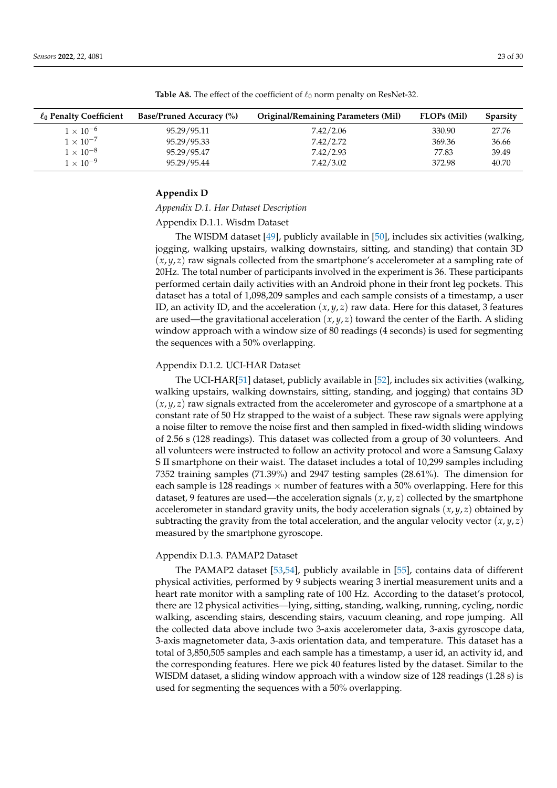| $\ell_0$ Penalty Coefficient | <b>Base/Pruned Accuracy (%)</b> | <b>Original/Remaining Parameters (Mil)</b> | <b>FLOPs (Mil)</b> | <b>Sparsity</b> |
|------------------------------|---------------------------------|--------------------------------------------|--------------------|-----------------|
| $1 \times 10^{-6}$           | 95.29/95.11                     | 7.42/2.06                                  | 330.90             | 27.76           |
| $1 \times 10^{-7}$           | 95.29/95.33                     | 7.42/2.72                                  | 369.36             | 36.66           |
| $1 \times 10^{-8}$           | 95.29/95.47                     | 7.42/2.93                                  | 77.83              | 39.49           |
| $1 \times 10^{-9}$           | 95.29/95.44                     | 7.42/3.02                                  | 372.98             | 40.70           |

<span id="page-22-1"></span>**Table A8.** The effect of the coefficient of  $\ell_0$  norm penalty on ResNet-32.

## <span id="page-22-0"></span>**Appendix D**

## *Appendix D.1. Har Dataset Description*

Appendix D.1.1. Wisdm Dataset

The WISDM dataset [\[49\]](#page-28-16), publicly available in [\[50\]](#page-28-17), includes six activities (walking, jogging, walking upstairs, walking downstairs, sitting, and standing) that contain 3D (*x*, *y*, *z*) raw signals collected from the smartphone's accelerometer at a sampling rate of 20Hz. The total number of participants involved in the experiment is 36. These participants performed certain daily activities with an Android phone in their front leg pockets. This dataset has a total of 1,098,209 samples and each sample consists of a timestamp, a user ID, an activity ID, and the acceleration (*x*, *y*, *z*) raw data. Here for this dataset, 3 features are used—the gravitational acceleration (*x*, *y*, *z*) toward the center of the Earth. A sliding window approach with a window size of 80 readings (4 seconds) is used for segmenting the sequences with a 50% overlapping.

# Appendix D.1.2. UCI-HAR Dataset

The UCI-HAR[\[51\]](#page-28-18) dataset, publicly available in [\[52\]](#page-28-19), includes six activities (walking, walking upstairs, walking downstairs, sitting, standing, and jogging) that contains 3D  $(x, y, z)$  raw signals extracted from the accelerometer and gyroscope of a smartphone at a constant rate of 50 Hz strapped to the waist of a subject. These raw signals were applying a noise filter to remove the noise first and then sampled in fixed-width sliding windows of 2.56 s (128 readings). This dataset was collected from a group of 30 volunteers. And all volunteers were instructed to follow an activity protocol and wore a Samsung Galaxy S II smartphone on their waist. The dataset includes a total of 10,299 samples including 7352 training samples (71.39%) and 2947 testing samples (28.61%). The dimension for each sample is 128 readings  $\times$  number of features with a 50% overlapping. Here for this dataset, 9 features are used—the acceleration signals (*x*, *y*, *z*) collected by the smartphone accelerometer in standard gravity units, the body acceleration signals  $(x, y, z)$  obtained by subtracting the gravity from the total acceleration, and the angular velocity vector  $(x, y, z)$ measured by the smartphone gyroscope.

## Appendix D.1.3. PAMAP2 Dataset

The PAMAP2 dataset [\[53](#page-28-20)[,54\]](#page-28-26), publicly available in [\[55\]](#page-28-21), contains data of different physical activities, performed by 9 subjects wearing 3 inertial measurement units and a heart rate monitor with a sampling rate of 100 Hz. According to the dataset's protocol, there are 12 physical activities—lying, sitting, standing, walking, running, cycling, nordic walking, ascending stairs, descending stairs, vacuum cleaning, and rope jumping. All the collected data above include two 3-axis accelerometer data, 3-axis gyroscope data, 3-axis magnetometer data, 3-axis orientation data, and temperature. This dataset has a total of 3,850,505 samples and each sample has a timestamp, a user id, an activity id, and the corresponding features. Here we pick 40 features listed by the dataset. Similar to the WISDM dataset, a sliding window approach with a window size of 128 readings (1.28 s) is used for segmenting the sequences with a 50% overlapping.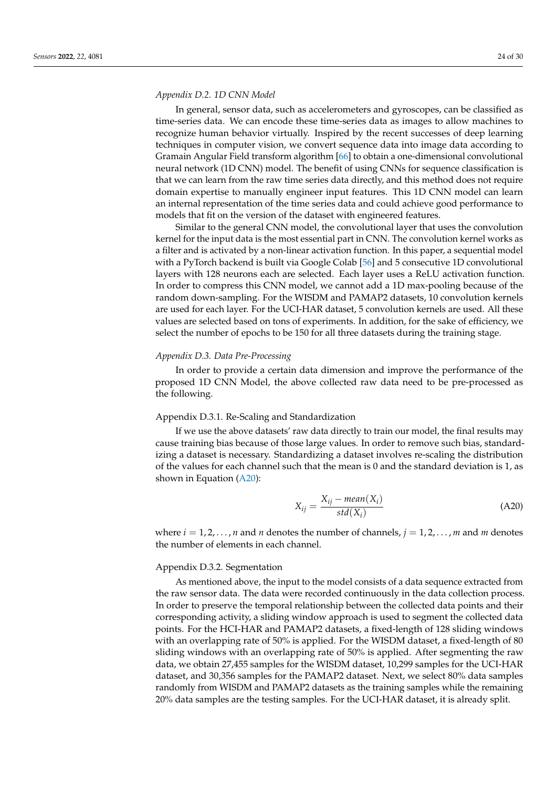## *Appendix D.2. 1D CNN Model*

In general, sensor data, such as accelerometers and gyroscopes, can be classified as time-series data. We can encode these time-series data as images to allow machines to recognize human behavior virtually. Inspired by the recent successes of deep learning techniques in computer vision, we convert sequence data into image data according to Gramain Angular Field transform algorithm [\[66\]](#page-29-6) to obtain a one-dimensional convolutional neural network (1D CNN) model. The benefit of using CNNs for sequence classification is that we can learn from the raw time series data directly, and this method does not require domain expertise to manually engineer input features. This 1D CNN model can learn an internal representation of the time series data and could achieve good performance to models that fit on the version of the dataset with engineered features.

Similar to the general CNN model, the convolutional layer that uses the convolution kernel for the input data is the most essential part in CNN. The convolution kernel works as a filter and is activated by a non-linear activation function. In this paper, a sequential model with a PyTorch backend is built via Google Colab [\[56\]](#page-28-22) and 5 consecutive 1D convolutional layers with 128 neurons each are selected. Each layer uses a ReLU activation function. In order to compress this CNN model, we cannot add a 1D max-pooling because of the random down-sampling. For the WISDM and PAMAP2 datasets, 10 convolution kernels are used for each layer. For the UCI-HAR dataset, 5 convolution kernels are used. All these values are selected based on tons of experiments. In addition, for the sake of efficiency, we select the number of epochs to be 150 for all three datasets during the training stage.

## *Appendix D.3. Data Pre-Processing*

In order to provide a certain data dimension and improve the performance of the proposed 1D CNN Model, the above collected raw data need to be pre-processed as the following.

## Appendix D.3.1. Re-Scaling and Standardization

If we use the above datasets' raw data directly to train our model, the final results may cause training bias because of those large values. In order to remove such bias, standardizing a dataset is necessary. Standardizing a dataset involves re-scaling the distribution of the values for each channel such that the mean is 0 and the standard deviation is 1, as shown in Equation [\(A20\)](#page-23-0):

<span id="page-23-0"></span>
$$
X_{ij} = \frac{X_{ij} - mean(X_i)}{std(X_i)}
$$
(A20)

where  $i = 1, 2, \ldots, n$  and *n* denotes the number of channels,  $j = 1, 2, \ldots, m$  and *m* denotes the number of elements in each channel.

# Appendix D.3.2. Segmentation

As mentioned above, the input to the model consists of a data sequence extracted from the raw sensor data. The data were recorded continuously in the data collection process. In order to preserve the temporal relationship between the collected data points and their corresponding activity, a sliding window approach is used to segment the collected data points. For the HCI-HAR and PAMAP2 datasets, a fixed-length of 128 sliding windows with an overlapping rate of 50% is applied. For the WISDM dataset, a fixed-length of 80 sliding windows with an overlapping rate of 50% is applied. After segmenting the raw data, we obtain 27,455 samples for the WISDM dataset, 10,299 samples for the UCI-HAR dataset, and 30,356 samples for the PAMAP2 dataset. Next, we select 80% data samples randomly from WISDM and PAMAP2 datasets as the training samples while the remaining 20% data samples are the testing samples. For the UCI-HAR dataset, it is already split.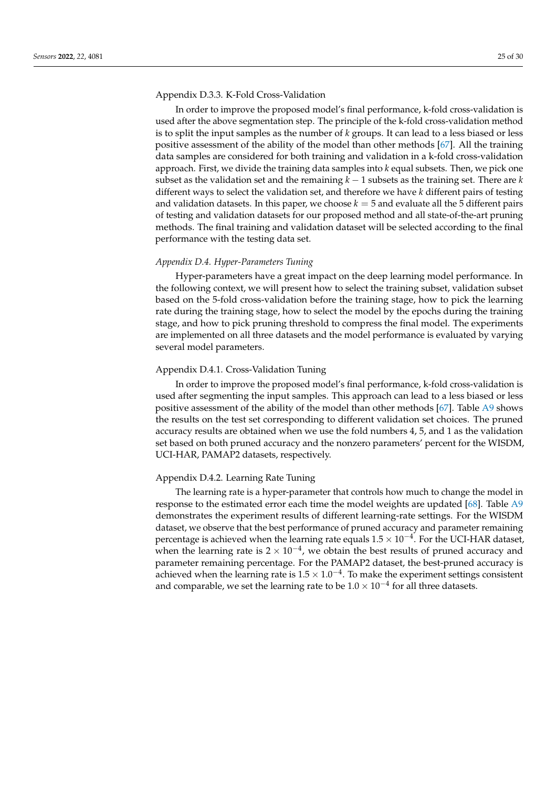## Appendix D.3.3. K-Fold Cross-Validation

In order to improve the proposed model's final performance, k-fold cross-validation is used after the above segmentation step. The principle of the k-fold cross-validation method is to split the input samples as the number of *k* groups. It can lead to a less biased or less positive assessment of the ability of the model than other methods [\[67\]](#page-29-7). All the training data samples are considered for both training and validation in a k-fold cross-validation approach. First, we divide the training data samples into *k* equal subsets. Then, we pick one subset as the validation set and the remaining *k* − 1 subsets as the training set. There are *k* different ways to select the validation set, and therefore we have *k* different pairs of testing and validation datasets. In this paper, we choose  $k = 5$  and evaluate all the 5 different pairs of testing and validation datasets for our proposed method and all state-of-the-art pruning methods. The final training and validation dataset will be selected according to the final performance with the testing data set.

## *Appendix D.4. Hyper-Parameters Tuning*

Hyper-parameters have a great impact on the deep learning model performance. In the following context, we will present how to select the training subset, validation subset based on the 5-fold cross-validation before the training stage, how to pick the learning rate during the training stage, how to select the model by the epochs during the training stage, and how to pick pruning threshold to compress the final model. The experiments are implemented on all three datasets and the model performance is evaluated by varying several model parameters.

## Appendix D.4.1. Cross-Validation Tuning

In order to improve the proposed model's final performance, k-fold cross-validation is used after segmenting the input samples. This approach can lead to a less biased or less positive assessment of the ability of the model than other methods [\[67\]](#page-29-7). Table [A9](#page-25-0) shows the results on the test set corresponding to different validation set choices. The pruned accuracy results are obtained when we use the fold numbers 4, 5, and 1 as the validation set based on both pruned accuracy and the nonzero parameters' percent for the WISDM, UCI-HAR, PAMAP2 datasets, respectively.

## Appendix D.4.2. Learning Rate Tuning

The learning rate is a hyper-parameter that controls how much to change the model in response to the estimated error each time the model weights are updated [\[68\]](#page-29-8). Table [A9](#page-25-0) demonstrates the experiment results of different learning-rate settings. For the WISDM dataset, we observe that the best performance of pruned accuracy and parameter remaining percentage is achieved when the learning rate equals  $1.5 \times 10^{-4}$ . For the UCI-HAR dataset, when the learning rate is  $2 \times 10^{-4}$ , we obtain the best results of pruned accuracy and parameter remaining percentage. For the PAMAP2 dataset, the best-pruned accuracy is achieved when the learning rate is  $1.5 \times 1.0^{-4}$ . To make the experiment settings consistent and comparable, we set the learning rate to be  $1.0 \times 10^{-4}$  for all three datasets.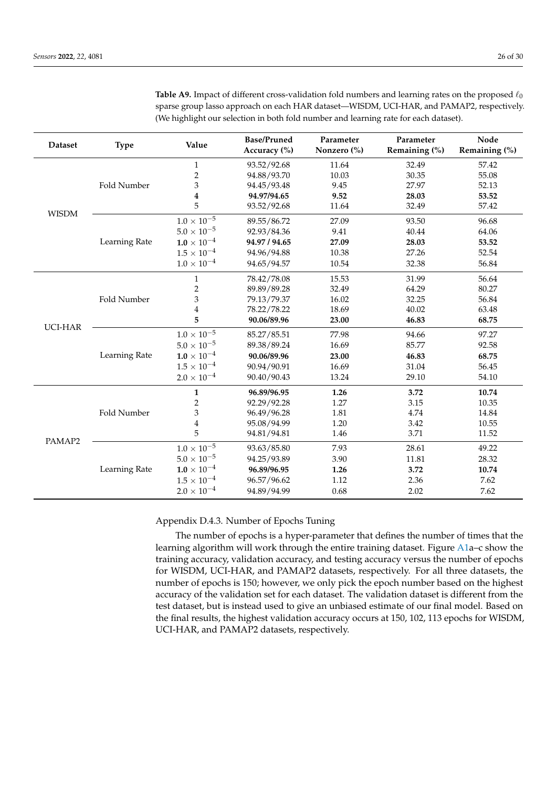| <b>Dataset</b> | <b>Type</b>   | Value                         | <b>Base/Pruned</b><br>Accuracy (%) | Parameter<br>Nonzero (%) | Parameter<br>Remaining (%) | Node<br>Remaining (%) |
|----------------|---------------|-------------------------------|------------------------------------|--------------------------|----------------------------|-----------------------|
|                |               | $\mathbf{1}$                  | 93.52/92.68                        | 11.64                    | 32.49                      | 57.42                 |
|                |               | $\boldsymbol{2}$              | 94.88/93.70                        | 10.03                    | 30.35                      | 55.08                 |
|                | Fold Number   | 3                             | 94.45/93.48                        | 9.45                     | 27.97                      | 52.13                 |
|                |               | 4                             | 94.97/94.65                        | 9.52                     | 28.03                      | 53.52                 |
|                |               | 5                             | 93.52/92.68                        | 11.64                    | 32.49                      | 57.42                 |
| <b>WISDM</b>   |               | $1.0 \times 10^{-5}$          | 89.55/86.72                        | 27.09                    | 93.50                      | 96.68                 |
|                |               | $5.0 \times 10^{-5}$          | 92.93/84.36                        | 9.41                     | 40.44                      | 64.06                 |
|                | Learning Rate | $1.0 \times 10^{-4}$          | 94.97 / 94.65                      | 27.09                    | 28.03                      | 53.52                 |
|                |               | $1.5\times10^{-4}$            | 94.96/94.88                        | 10.38                    | 27.26                      | 52.54                 |
|                |               | $1.0 \times 10^{-4}$          | 94.65/94.57                        | 10.54                    | 32.38                      | 56.84                 |
|                |               | $\mathbf{1}$                  | 78.42/78.08                        | 15.53                    | 31.99                      | 56.64                 |
|                |               | 2                             | 89.89/89.28                        | 32.49                    | 64.29                      | 80.27                 |
|                | Fold Number   | 3                             | 79.13/79.37                        | 16.02                    | 32.25                      | 56.84                 |
|                |               | $\overline{4}$                | 78.22/78.22                        | 18.69                    | 40.02                      | 63.48                 |
| UCI-HAR        |               | 5                             | 90.06/89.96                        | 23.00                    | 46.83                      | 68.75                 |
|                |               | $1.0 \times 10^{-5}$          | 85.27/85.51                        | 77.98                    | 94.66                      | 97.27                 |
|                |               | $5.0 \times 10^{-5}$          | 89.38/89.24                        | 16.69                    | 85.77                      | 92.58                 |
|                | Learning Rate | $\textbf{1.0} \times 10^{-4}$ | 90.06/89.96                        | 23.00                    | 46.83                      | 68.75                 |
|                |               | $1.5 \times 10^{-4}$          | 90.94/90.91                        | 16.69                    | 31.04                      | 56.45                 |
|                |               | $2.0 \times 10^{-4}$          | 90.40/90.43                        | 13.24                    | 29.10                      | 54.10                 |
|                | Fold Number   | $\mathbf{1}$                  | 96.89/96.95                        | 1.26                     | 3.72                       | 10.74                 |
| PAMAP2         |               | $\overline{2}$                | 92.29/92.28                        | 1.27                     | 3.15                       | 10.35                 |
|                |               | $\ensuremath{\mathfrak{Z}}$   | 96.49/96.28                        | 1.81                     | 4.74                       | 14.84                 |
|                |               | 4                             | 95.08/94.99                        | 1.20                     | 3.42                       | 10.55                 |
|                |               | 5                             | 94.81/94.81                        | $1.46\,$                 | 3.71                       | 11.52                 |
|                |               | $1.0 \times 10^{-5}$          | 93.63/85.80                        | 7.93                     | 28.61                      | 49.22                 |
|                |               | $5.0 \times 10^{-5}$          | 94.25/93.89                        | 3.90                     | 11.81                      | 28.32                 |
|                | Learning Rate | $1.0 \times 10^{-4}$          | 96.89/96.95                        | 1.26                     | 3.72                       | 10.74                 |
|                |               | $1.5 \times 10^{-4}$          | 96.57/96.62                        | 1.12                     | 2.36                       | 7.62                  |
|                |               | $2.0 \times 10^{-4}$          | 94.89/94.99                        | 0.68                     | 2.02                       | 7.62                  |

<span id="page-25-0"></span>**Table A9.** Impact of different cross-validation fold numbers and learning rates on the proposed  $\ell_0$ sparse group lasso approach on each HAR dataset—WISDM, UCI-HAR, and PAMAP2, respectively. (We highlight our selection in both fold number and learning rate for each dataset).

# Appendix D.4.3. Number of Epochs Tuning

The number of epochs is a hyper-parameter that defines the number of times that the learning algorithm will work through the entire training dataset. Figure [A1a](#page-26-3)–c show the training accuracy, validation accuracy, and testing accuracy versus the number of epochs for WISDM, UCI-HAR, and PAMAP2 datasets, respectively. For all three datasets, the number of epochs is 150; however, we only pick the epoch number based on the highest accuracy of the validation set for each dataset. The validation dataset is different from the test dataset, but is instead used to give an unbiased estimate of our final model. Based on the final results, the highest validation accuracy occurs at 150, 102, 113 epochs for WISDM, UCI-HAR, and PAMAP2 datasets, respectively.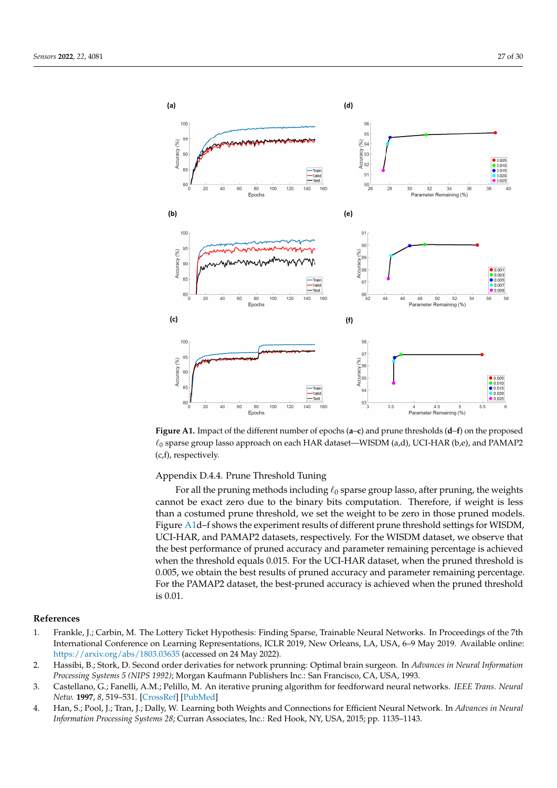<span id="page-26-3"></span>

**Figure A1.** Impact of the different number of epochs (**a**–**c**) and prune thresholds (**d**–**f**) on the proposed  $\ell_0$  sparse group lasso approach on each HAR dataset—WISDM (a,d), UCI-HAR (b,e), and PAMAP2 (c,f), respectively.

Appendix D.4.4. Prune Threshold Tuning

For all the pruning methods including  $\ell_0$  sparse group lasso, after pruning, the weights cannot be exact zero due to the binary bits computation. Therefore, if weight is less than a costumed prune threshold, we set the weight to be zero in those pruned models. Figure [A1d](#page-26-3)–f shows the experiment results of different prune threshold settings for WISDM, UCI-HAR, and PAMAP2 datasets, respectively. For the WISDM dataset, we observe that the best performance of pruned accuracy and parameter remaining percentage is achieved when the threshold equals 0.015. For the UCI-HAR dataset, when the pruned threshold is 0.005, we obtain the best results of pruned accuracy and parameter remaining percentage. For the PAMAP2 dataset, the best-pruned accuracy is achieved when the pruned threshold is 0.01.

# **References**

- <span id="page-26-0"></span>1. Frankle, J.; Carbin, M. The Lottery Ticket Hypothesis: Finding Sparse, Trainable Neural Networks. In Proceedings of the 7th International Conference on Learning Representations, ICLR 2019, New Orleans, LA, USA, 6–9 May 2019. Available online: <https://arxiv.org/abs/1803.03635> (accessed on 24 May 2022).
- <span id="page-26-2"></span>2. Hassibi, B.; Stork, D. Second order derivaties for network prunning: Optimal brain surgeon. In *Advances in Neural Information Processing Systems 5 (NIPS 1992)*; Morgan Kaufmann Publishers Inc.: San Francisco, CA, USA, 1993.
- 3. Castellano, G.; Fanelli, A.M.; Pelillo, M. An iterative pruning algorithm for feedforward neural networks. *IEEE Trans. Neural Netw.* **1997**, *8*, 519–531. [\[CrossRef\]](http://doi.org/10.1109/72.572092) [\[PubMed\]](http://www.ncbi.nlm.nih.gov/pubmed/18255656)
- <span id="page-26-1"></span>4. Han, S.; Pool, J.; Tran, J.; Dally, W. Learning both Weights and Connections for Efficient Neural Network. In *Advances in Neural Information Processing Systems 28*; Curran Associates, Inc.: Red Hook, NY, USA, 2015; pp. 1135–1143.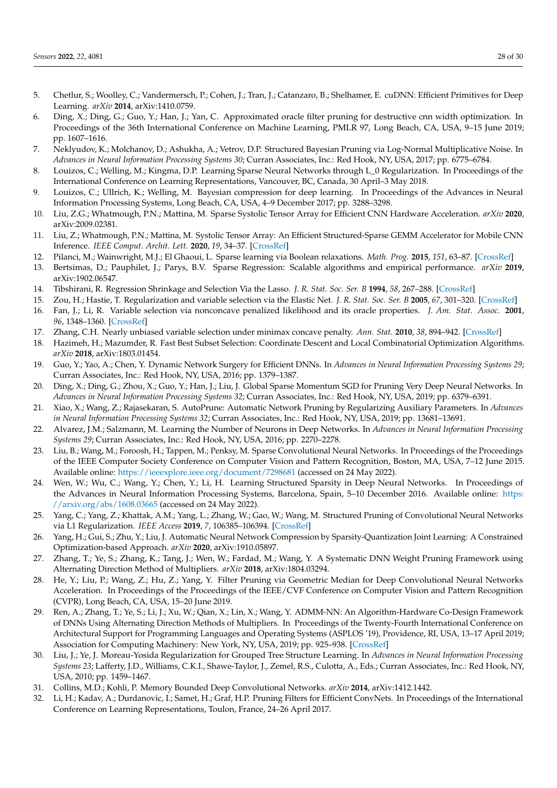- <span id="page-27-0"></span>5. Chetlur, S.; Woolley, C.; Vandermersch, P.; Cohen, J.; Tran, J.; Catanzaro, B.; Shelhamer, E. cuDNN: Efficient Primitives for Deep Learning. *arXiv* **2014**, arXiv:1410.0759.
- <span id="page-27-1"></span>6. Ding, X.; Ding, G.; Guo, Y.; Han, J.; Yan, C. Approximated oracle filter pruning for destructive cnn width optimization. In Proceedings of the 36th International Conference on Machine Learning, PMLR 97, Long Beach, CA, USA, 9–15 June 2019; pp. 1607–1616.
- <span id="page-27-23"></span>7. Neklyudov, K.; Molchanov, D.; Ashukha, A.; Vetrov, D.P. Structured Bayesian Pruning via Log-Normal Multiplicative Noise. In *Advances in Neural Information Processing Systems 30*; Curran Associates, Inc.: Red Hook, NY, USA, 2017; pp. 6775–6784.
- <span id="page-27-12"></span>8. Louizos, C.; Welling, M.; Kingma, D.P. Learning Sparse Neural Networks through L\_0 Regularization. In Proceedings of the International Conference on Learning Representations, Vancouver, BC, Canada, 30 April–3 May 2018.
- <span id="page-27-2"></span>9. Louizos, C.; Ullrich, K.; Welling, M. Bayesian compression for deep learning. In Proceedings of the Advances in Neural Information Processing Systems, Long Beach, CA, USA, 4–9 December 2017; pp. 3288–3298.
- <span id="page-27-3"></span>10. Liu, Z.G.; Whatmough, P.N.; Mattina, M. Sparse Systolic Tensor Array for Efficient CNN Hardware Acceleration. *arXiv* **2020**, arXiv:2009.02381.
- <span id="page-27-4"></span>11. Liu, Z.; Whatmough, P.N.; Mattina, M. Systolic Tensor Array: An Efficient Structured-Sparse GEMM Accelerator for Mobile CNN Inference. *IEEE Comput. Archit. Lett.* **2020**, *19*, 34–37. [\[CrossRef\]](http://dx.doi.org/10.1109/LCA.2020.2979965)
- <span id="page-27-5"></span>12. Pilanci, M.; Wainwright, M.J.; El Ghaoui, L. Sparse learning via Boolean relaxations. *Math. Prog.* **2015**, *151*, 63–87. [\[CrossRef\]](http://dx.doi.org/10.1007/s10107-015-0894-1)
- <span id="page-27-6"></span>13. Bertsimas, D.; Pauphilet, J.; Parys, B.V. Sparse Regression: Scalable algorithms and empirical performance. *arXiv* **2019**, arXiv:1902.06547.
- <span id="page-27-7"></span>14. Tibshirani, R. Regression Shrinkage and Selection Via the Lasso. *J. R. Stat. Soc. Ser. B* **1994**, *58*, 267–288. [\[CrossRef\]](http://dx.doi.org/10.1111/j.2517-6161.1996.tb02080.x)
- <span id="page-27-8"></span>15. Zou, H.; Hastie, T. Regularization and variable selection via the Elastic Net. *J. R. Stat. Soc. Ser. B* **2005**, *67*, 301–320. [\[CrossRef\]](http://dx.doi.org/10.1111/j.1467-9868.2005.00503.x)
- <span id="page-27-9"></span>16. Fan, J.; Li, R. Variable selection via nonconcave penalized likelihood and its oracle properties. *J. Am. Stat. Assoc.* **2001**, *96*, 1348–1360. [\[CrossRef\]](http://dx.doi.org/10.1198/016214501753382273)
- <span id="page-27-10"></span>17. Zhang, C.H. Nearly unbiased variable selection under minimax concave penalty. *Ann. Stat.* **2010**, *38*, 894–942. [\[CrossRef\]](http://dx.doi.org/10.1214/09-AOS729)
- <span id="page-27-11"></span>18. Hazimeh, H.; Mazumder, R. Fast Best Subset Selection: Coordinate Descent and Local Combinatorial Optimization Algorithms. *arXiv* **2018**, arXiv:1803.01454.
- <span id="page-27-13"></span>19. Guo, Y.; Yao, A.; Chen, Y. Dynamic Network Surgery for Efficient DNNs. In *Advances in Neural Information Processing Systems 29*; Curran Associates, Inc.: Red Hook, NY, USA, 2016; pp. 1379–1387.
- 20. Ding, X.; Ding, G.; Zhou, X.; Guo, Y.; Han, J.; Liu, J. Global Sparse Momentum SGD for Pruning Very Deep Neural Networks. In *Advances in Neural Information Processing Systems 32*; Curran Associates, Inc.: Red Hook, NY, USA, 2019; pp. 6379–6391.
- 21. Xiao, X.; Wang, Z.; Rajasekaran, S. AutoPrune: Automatic Network Pruning by Regularizing Auxiliary Parameters. In *Advances in Neural Information Processing Systems 32*; Curran Associates, Inc.: Red Hook, NY, USA, 2019; pp. 13681–13691.
- 22. Alvarez, J.M.; Salzmann, M. Learning the Number of Neurons in Deep Networks. In *Advances in Neural Information Processing Systems 29*; Curran Associates, Inc.: Red Hook, NY, USA, 2016; pp. 2270–2278.
- <span id="page-27-17"></span>23. Liu, B.; Wang, M.; Foroosh, H.; Tappen, M.; Penksy, M. Sparse Convolutional Neural Networks. In Proceedings of the Proceedings of the IEEE Computer Society Conference on Computer Vision and Pattern Recognition, Boston, MA, USA, 7–12 June 2015. Available online: <https://ieeexplore.ieee.org/document/7298681> (accessed on 24 May 2022).
- <span id="page-27-14"></span>24. Wen, W.; Wu, C.; Wang, Y.; Chen, Y.; Li, H. Learning Structured Sparsity in Deep Neural Networks. In Proceedings of the Advances in Neural Information Processing Systems, Barcelona, Spain, 5–10 December 2016. Available online: [https:](https://arxiv.org/abs/1608.03665) [//arxiv.org/abs/1608.03665](https://arxiv.org/abs/1608.03665) (accessed on 24 May 2022).
- <span id="page-27-15"></span>25. Yang, C.; Yang, Z.; Khattak, A.M.; Yang, L.; Zhang, W.; Gao, W.; Wang, M. Structured Pruning of Convolutional Neural Networks via L1 Regularization. *IEEE Access* **2019**, *7*, 106385–106394. [\[CrossRef\]](http://dx.doi.org/10.1109/ACCESS.2019.2933032)
- <span id="page-27-16"></span>26. Yang, H.; Gui, S.; Zhu, Y.; Liu, J. Automatic Neural Network Compression by Sparsity-Quantization Joint Learning: A Constrained Optimization-based Approach. *arXiv* **2020**, arXiv:1910.05897.
- <span id="page-27-18"></span>27. Zhang, T.; Ye, S.; Zhang, K.; Tang, J.; Wen, W.; Fardad, M.; Wang, Y. A Systematic DNN Weight Pruning Framework using Alternating Direction Method of Multipliers. *arXiv* **2018**, arXiv:1804.03294.
- 28. He, Y.; Liu, P.; Wang, Z.; Hu, Z.; Yang, Y. Filter Pruning via Geometric Median for Deep Convolutional Neural Networks Acceleration. In Proceedings of the Proceedings of the IEEE/CVF Conference on Computer Vision and Pattern Recognition (CVPR), Long Beach, CA, USA, 15–20 June 2019.
- <span id="page-27-19"></span>29. Ren, A.; Zhang, T.; Ye, S.; Li, J.; Xu, W.; Qian, X.; Lin, X.; Wang, Y. ADMM-NN: An Algorithm-Hardware Co-Design Framework of DNNs Using Alternating Direction Methods of Multipliers. In Proceedings of the Twenty-Fourth International Conference on Architectural Support for Programming Languages and Operating Systems (ASPLOS '19), Providence, RI, USA, 13–17 April 2019; Association for Computing Machinery: New York, NY, USA, 2019; pp. 925–938. [\[CrossRef\]](http://dx.doi.org/10.1145/3297858.3304076)
- <span id="page-27-20"></span>30. Liu, J.; Ye, J. Moreau-Yosida Regularization for Grouped Tree Structure Learning. In *Advances in Neural Information Processing Systems 23*; Lafferty, J.D., Williams, C.K.I., Shawe-Taylor, J., Zemel, R.S., Culotta, A., Eds.; Curran Associates, Inc.: Red Hook, NY, USA, 2010; pp. 1459–1467.
- <span id="page-27-21"></span>31. Collins, M.D.; Kohli, P. Memory Bounded Deep Convolutional Networks. *arXiv* **2014**, arXiv:1412.1442.
- <span id="page-27-22"></span>32. Li, H.; Kadav, A.; Durdanovic, I.; Samet, H.; Graf, H.P. Pruning Filters for Efficient ConvNets. In Proceedings of the International Conference on Learning Representations, Toulon, France, 24–26 April 2017.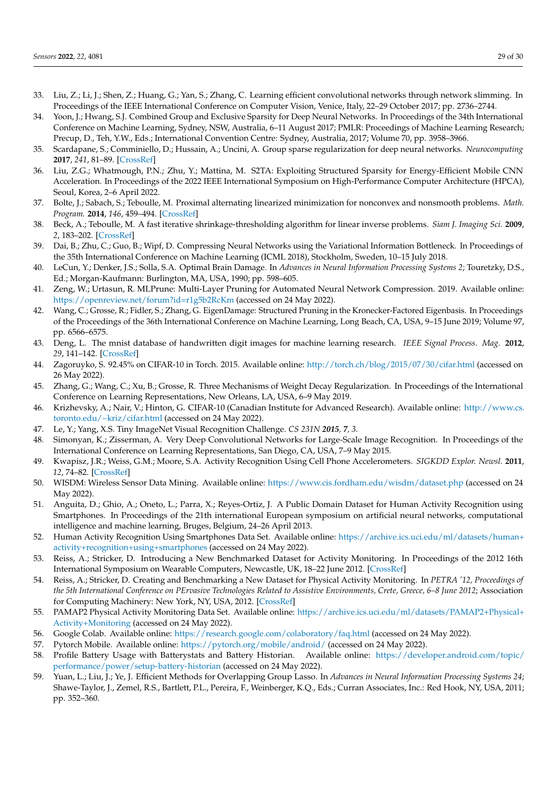- <span id="page-28-0"></span>33. Liu, Z.; Li, J.; Shen, Z.; Huang, G.; Yan, S.; Zhang, C. Learning efficient convolutional networks through network slimming. In Proceedings of the IEEE International Conference on Computer Vision, Venice, Italy, 22–29 October 2017; pp. 2736–2744.
- <span id="page-28-1"></span>34. Yoon, J.; Hwang, S.J. Combined Group and Exclusive Sparsity for Deep Neural Networks. In Proceedings of the 34th International Conference on Machine Learning, Sydney, NSW, Australia, 6–11 August 2017; PMLR: Proceedings of Machine Learning Research; Precup, D., Teh, Y.W., Eds.; International Convention Centre: Sydney, Australia, 2017; Volume 70, pp. 3958–3966.
- <span id="page-28-2"></span>35. Scardapane, S.; Comminiello, D.; Hussain, A.; Uncini, A. Group sparse regularization for deep neural networks. *Neurocomputing* **2017**, *241*, 81–89. [\[CrossRef\]](http://dx.doi.org/10.1016/j.neucom.2017.02.029)
- <span id="page-28-3"></span>36. Liu, Z.G.; Whatmough, P.N.; Zhu, Y.; Mattina, M. S2TA: Exploiting Structured Sparsity for Energy-Efficient Mobile CNN Acceleration. In Proceedings of the 2022 IEEE International Symposium on High-Performance Computer Architecture (HPCA), Seoul, Korea, 2–6 April 2022.
- <span id="page-28-4"></span>37. Bolte, J.; Sabach, S.; Teboulle, M. Proximal alternating linearized minimization for nonconvex and nonsmooth problems. *Math. Program.* **2014**, *146*, 459–494. [\[CrossRef\]](http://dx.doi.org/10.1007/s10107-013-0701-9)
- <span id="page-28-5"></span>38. Beck, A.; Teboulle, M. A fast iterative shrinkage-thresholding algorithm for linear inverse problems. *Siam J. Imaging Sci.* **2009**, *2*, 183–202. [\[CrossRef\]](http://dx.doi.org/10.1137/080716542)
- <span id="page-28-6"></span>39. Dai, B.; Zhu, C.; Guo, B.; Wipf, D. Compressing Neural Networks using the Variational Information Bottleneck. In Proceedings of the 35th International Conference on Machine Learning (ICML 2018), Stockholm, Sweden, 10–15 July 2018.
- <span id="page-28-7"></span>40. LeCun, Y.; Denker, J.S.; Solla, S.A. Optimal Brain Damage. In *Advances in Neural Information Processing Systems 2*; Touretzky, D.S., Ed.; Morgan-Kaufmann: Burlington, MA, USA, 1990; pp. 598–605.
- <span id="page-28-8"></span>41. Zeng, W.; Urtasun, R. MLPrune: Multi-Layer Pruning for Automated Neural Network Compression. 2019. Available online: <https://openreview.net/forum?id=r1g5b2RcKm> (accessed on 24 May 2022).
- <span id="page-28-9"></span>42. Wang, C.; Grosse, R.; Fidler, S.; Zhang, G. EigenDamage: Structured Pruning in the Kronecker-Factored Eigenbasis. In Proceedings of the Proceedings of the 36th International Conference on Machine Learning, Long Beach, CA, USA, 9–15 June 2019; Volume 97, pp. 6566–6575.
- <span id="page-28-10"></span>43. Deng, L. The mnist database of handwritten digit images for machine learning research. *IEEE Signal Process. Mag.* **2012**, *29*, 141–142. [\[CrossRef\]](http://dx.doi.org/10.1109/MSP.2012.2211477)
- <span id="page-28-11"></span>44. Zagoruyko, S. 92.45% on CIFAR-10 in Torch. 2015. Available online: <http://torch.ch/blog/2015/07/30/cifar.html> (accessed on 26 May 2022).
- <span id="page-28-12"></span>45. Zhang, G.; Wang, C.; Xu, B.; Grosse, R. Three Mechanisms of Weight Decay Regularization. In Proceedings of the International Conference on Learning Representations, New Orleans, LA, USA, 6–9 May 2019.
- <span id="page-28-13"></span>46. Krizhevsky, A.; Nair, V.; Hinton, G. CIFAR-10 (Canadian Institute for Advanced Research). Available online: [http://www.cs.](http://www.cs.toronto.edu/~kriz/cifar.html) [toronto.edu/~kriz/cifar.html](http://www.cs.toronto.edu/~kriz/cifar.html) (accessed on 24 May 2022).
- <span id="page-28-14"></span>47. Le, Y.; Yang, X.S. Tiny ImageNet Visual Recognition Challenge. *CS 231N 2015, 7, 3.*
- <span id="page-28-15"></span>48. Simonyan, K.; Zisserman, A. Very Deep Convolutional Networks for Large-Scale Image Recognition. In Proceedings of the International Conference on Learning Representations, San Diego, CA, USA, 7–9 May 2015.
- <span id="page-28-16"></span>49. Kwapisz, J.R.; Weiss, G.M.; Moore, S.A. Activity Recognition Using Cell Phone Accelerometers. *SIGKDD Explor. Newsl.* **2011**, *12*, 74–82. [\[CrossRef\]](http://dx.doi.org/10.1145/1964897.1964918)
- <span id="page-28-17"></span>50. WISDM: Wireless Sensor Data Mining. Available online: <https://www.cis.fordham.edu/wisdm/dataset.php> (accessed on 24 May 2022).
- <span id="page-28-18"></span>51. Anguita, D.; Ghio, A.; Oneto, L.; Parra, X.; Reyes-Ortiz, J. A Public Domain Dataset for Human Activity Recognition using Smartphones. In Proceedings of the 21th international European symposium on artificial neural networks, computational intelligence and machine learning, Bruges, Belgium, 24–26 April 2013.
- <span id="page-28-19"></span>52. Human Activity Recognition Using Smartphones Data Set. Available online: [https://archive.ics.uci.edu/ml/datasets/human+](https://archive.ics.uci.edu/ml/datasets/human+activity+recognition+using+smartphones) [activity+recognition+using+smartphones](https://archive.ics.uci.edu/ml/datasets/human+activity+recognition+using+smartphones) (accessed on 24 May 2022).
- <span id="page-28-20"></span>53. Reiss, A.; Stricker, D. Introducing a New Benchmarked Dataset for Activity Monitoring. In Proceedings of the 2012 16th International Symposium on Wearable Computers, Newcastle, UK, 18–22 June 2012. [\[CrossRef\]](http://dx.doi.org/10.1109/ISWC.2012.13)
- <span id="page-28-26"></span>54. Reiss, A.; Stricker, D. Creating and Benchmarking a New Dataset for Physical Activity Monitoring. In *PETRA '12, Proceedings of the 5th International Conference on PErvasive Technologies Related to Assistive Environments, Crete, Greece, 6–8 June 2012*; Association for Computing Machinery: New York, NY, USA, 2012. [\[CrossRef\]](http://dx.doi.org/10.1145/2413097.2413148)
- <span id="page-28-21"></span>55. PAMAP2 Physical Activity Monitoring Data Set. Available online: [https://archive.ics.uci.edu/ml/datasets/PAMAP2+Physical+](https://archive.ics.uci.edu/ml/datasets/PAMAP2+Physical+Activity+Monitoring) [Activity+Monitoring](https://archive.ics.uci.edu/ml/datasets/PAMAP2+Physical+Activity+Monitoring) (accessed on 24 May 2022).
- <span id="page-28-22"></span>56. Google Colab. Available online: [https://research.google.com/colaboratory/faq.html](https://research.google.com/colaboratory/faq.html ) (accessed on 24 May 2022).
- <span id="page-28-23"></span>57. Pytorch Mobile. Available online: <https://pytorch.org/mobile/android/> (accessed on 24 May 2022).
- <span id="page-28-24"></span>58. Profile Battery Usage with Batterystats and Battery Historian. Available online: [https://developer.android.com/topic/](https://developer.android.com/topic/performance/power/setup-battery-historian) [performance/power/setup-battery-historian](https://developer.android.com/topic/performance/power/setup-battery-historian) (accessed on 24 May 2022).
- <span id="page-28-25"></span>59. Yuan, L.; Liu, J.; Ye, J. Efficient Methods for Overlapping Group Lasso. In *Advances in Neural Information Processing Systems 24*; Shawe-Taylor, J., Zemel, R.S., Bartlett, P.L., Pereira, F., Weinberger, K.Q., Eds.; Curran Associates, Inc.: Red Hook, NY, USA, 2011; pp. 352–360.